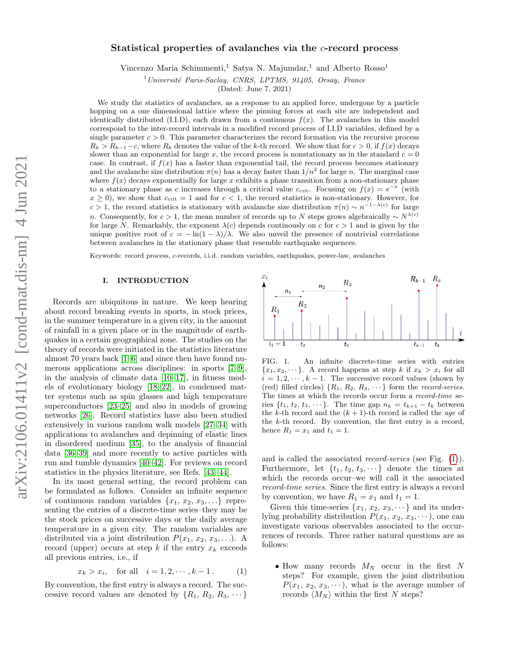# Statistical properties of avalanches via the c-record process

Vincenzo Maria Schimmenti,<sup>1</sup> Satya N. Majumdar,<sup>1</sup> and Alberto Rosso<sup>1</sup>

 $1$ Université Paris-Saclay, CNRS, LPTMS, 91405, Orsay, France

(Dated: June 7, 2021)

We study the statistics of avalanches, as a response to an applied force, undergone by a particle hopping on a one dimensional lattice where the pinning forces at each site are independent and identically distributed (I.I.D), each drawn from a continuous  $f(x)$ . The avalanches in this model correspond to the inter-record intervals in a modified record process of I.I.D variables, defined by a single parameter  $c > 0$ . This parameter characterizes the record formation via the recursive process  $R_k > R_{k-1}-c$ , where  $R_k$  denotes the value of the k-th record. We show that for  $c > 0$ , if  $f(x)$  decays slower than an exponential for large x, the record process is nonstationary as in the standard  $c = 0$ case. In contrast, if  $f(x)$  has a faster than exponential tail, the record process becomes stationary and the avalanche size distribution  $\pi(n)$  has a decay faster than  $1/n^2$  for large n. The marginal case where  $f(x)$  decays exponentially for large x exhibits a phase transition from a non-stationary phase to a stationary phase as c increases through a critical value  $c_{\rm crit}$ . Focusing on  $f(x) = e^{-x}$  (with  $x \geq 0$ , we show that  $c_{\rm crit} = 1$  and for  $c < 1$ , the record statistics is non-stationary. However, for  $c > 1$ , the record statistics is stationary with avalanche size distribution  $\pi(n) \sim n^{-1-\lambda(c)}$  for large n. Consequently, for  $c > 1$ , the mean number of records up to N steps grows algebraically  $\sim N^{\lambda(c)}$ for large N. Remarkably, the exponent  $\lambda(c)$  depends continuously on c for  $c > 1$  and is given by the unique positive root of  $c = -\ln(1 - \lambda)/\lambda$ . We also unveil the presence of nontrivial correlations between avalanches in the stationary phase that resemble earthquake sequences.

Keywords: record process, c-records, i.i.d. random variables, earthquakes, power-law, avalanches

## I. INTRODUCTION

Records are ubiquitous in nature. We keep hearing about record breaking events in sports, in stock prices, in the summer temperature in a given city, in the amount of rainfall in a given place or in the magnitude of earthquakes in a certain geographical zone. The studies on the theory of records were initiated in the statistics literature almost 70 years back [\[1](#page-18-0)[–6\]](#page-18-1) and since then have found numerous applications across disciplines: in sports [\[7–](#page-18-2)[9\]](#page-18-3), in the analysis of climate data [\[10–](#page-18-4)[17\]](#page-18-5), in fitness models of evolutionary biology [\[18–](#page-18-6)[22\]](#page-18-7), in condensed matter systems such as spin glasses and high temperature superconductors [\[23–](#page-18-8)[25\]](#page-18-9) and also in models of growing networks [\[26\]](#page-18-10). Record statistics have also been studied extensively in various random walk models [\[27](#page-18-11)[–34\]](#page-18-12) with applications to avalanches and depinning of elastic lines in disordered medium [\[35\]](#page-18-13), to the analysis of financial data [\[36](#page-18-14)[–39\]](#page-18-15) and more recently to active particles with run and tumble dynamics [\[40–](#page-18-16)[42\]](#page-18-17). For reviews on record statistics in the physics literature, see Refs. [\[43,](#page-18-18) [44\]](#page-18-19).

In its most general setting, the record problem can be formulated as follows. Consider an infinite sequence of continuous random variables  $\{x_1, x_2, x_3, \ldots\}$  representing the entries of a discrete-time series–they may be the stock prices on successive days or the daily average temperature in a given city. The random variables are distributed via a joint distribution  $P(x_1, x_2, x_3, \ldots)$ . A record (upper) occurs at step k if the entry  $x_k$  exceeds all previous entries, i.e., if

$$
x_k > x_i
$$
, for all  $i = 1, 2, \dots, k - 1$ . (1)

By convention, the first entry is always a record. The successive record values are denoted by  $\{R_1, R_2, R_3, \dots\}$ 



<span id="page-0-0"></span>FIG. 1. An infinite discrete-time series with entries  ${x_1, x_2, \dots}$ . A record happens at step k if  $x_k > x_i$  for all  $i = 1, 2, \dots, k - 1$ . The successive record values (shown by (red) filled circles)  $\{R_1, R_2, R_3, \cdots\}$  form the *record-series*. The times at which the records occur form a record-time series  $\{t_1, t_2, t_3, \cdots\}$ . The time gap  $n_k = t_{k+1} - t_k$  between the k-th record and the  $(k + 1)$ -th record is called the *age* of the k-th record. By convention, the first entry is a record, hence  $R_1 = x_1$  and  $t_1 = 1$ .

and is called the associated record-series (see Fig. [\(1\)](#page-0-0)). Furthermore, let  $\{t_1, t_2, t_3, \dots\}$  denote the times at which the records occur–we will call it the associated record-time series. Since the first entry is always a record by convention, we have  $R_1 = x_1$  and  $t_1 = 1$ .

Given this time-series  $\{x_1, x_2, x_3, \dots\}$  and its underlying probability distribution  $P(x_1, x_2, x_3, \dots)$ , one can investigate various observables associated to the occurrences of records. Three rather natural questions are as follows:

• How many records  $M_N$  occur in the first N steps? For example, given the joint distribution  $P(x_1, x_2, x_3, \dots),$  what is the average number of records  $\langle M_N \rangle$  within the first N steps?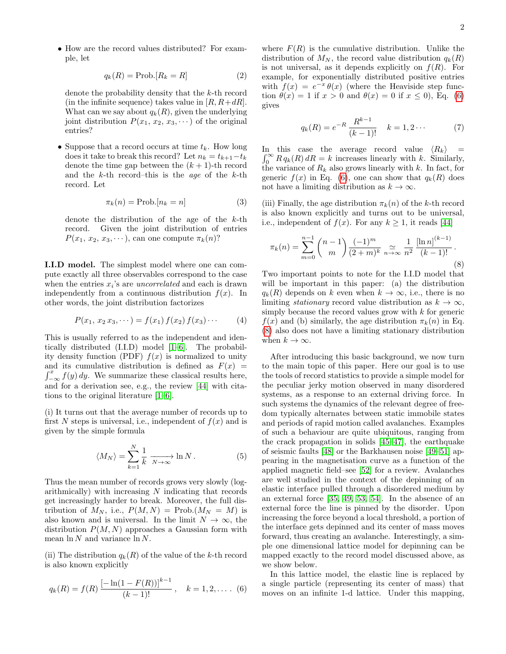• How are the record values distributed? For example, let

$$
q_k(R) = \text{Prob.}[R_k = R] \tag{2}
$$

denote the probability density that the k-th record (in the infinite sequence) takes value in  $[R, R+dR]$ . What can we say about  $q_k(R)$ , given the underlying joint distribution  $P(x_1, x_2, x_3, \dots)$  of the original entries?

• Suppose that a record occurs at time  $t_k$ . How long does it take to break this record? Let  $n_k = t_{k+1}-t_k$ denote the time gap between the  $(k+1)$ -th record and the  $k$ -th record–this is the *age* of the  $k$ -th record. Let

$$
\pi_k(n) = \text{Prob.}[n_k = n] \tag{3}
$$

denote the distribution of the age of the k-th record. Given the joint distribution of entries  $P(x_1, x_2, x_3, \dots)$ , can one compute  $\pi_k(n)$ ?

I.I.D model. The simplest model where one can compute exactly all three observables correspond to the case when the entries  $x_i$ 's are *uncorrelated* and each is drawn independently from a continuous distribution  $f(x)$ . In other words, the joint distribution factorizes

$$
P(x_1, x_2 x_3, \dots) = f(x_1) f(x_2) f(x_3) \dots \tag{4}
$$

This is usually referred to as the independent and identically distributed (I.I.D) model [\[1–](#page-18-0)[6\]](#page-18-1). The probability density function (PDF)  $f(x)$  is normalized to unity  $\int_{-\infty}^{x} f(y) dy$ . We summarize these classical results here, and its cumulative distribution is defined as  $F(x) =$ and for a derivation see, e.g., the review [\[44\]](#page-18-19) with citations to the original literature [\[1](#page-18-0)[–6\]](#page-18-1).

(i) It turns out that the average number of records up to first N steps is universal, i.e., independent of  $f(x)$  and is given by the simple formula

$$
\langle M_N \rangle = \sum_{k=1}^N \frac{1}{k} \xrightarrow[N \to \infty]{} \ln N . \tag{5}
$$

Thus the mean number of records grows very slowly (logarithmically) with increasing N indicating that records get increasingly harder to break. Moreover, the full distribution of  $M_N$ , i.e.,  $P(M, N) = \text{Prob}(M_N = M)$  is also known and is universal. In the limit  $N \to \infty$ , the distribution  $P(M, N)$  approaches a Gaussian form with mean  $\ln N$  and variance  $\ln N$ .

(ii) The distribution  $q_k(R)$  of the value of the k-th record is also known explicitly

<span id="page-1-0"></span>
$$
q_k(R) = f(R) \frac{\left[-\ln(1 - F(R))\right]^{k-1}}{(k-1)!}, \quad k = 1, 2, \dots \quad (6)
$$

where  $F(R)$  is the cumulative distribution. Unlike the distribution of  $M_N$ , the record value distribution  $q_k(R)$ is not universal, as it depends explicitly on  $f(R)$ . For example, for exponentially distributed positive entries with  $f(x) = e^{-x} \theta(x)$  (where the Heaviside step function  $\theta(x) = 1$  if  $x > 0$  and  $\theta(x) = 0$  if  $x \le 0$ , Eq. [\(6\)](#page-1-0) gives

$$
q_k(R) = e^{-R} \frac{R^{k-1}}{(k-1)!} \quad k = 1, 2 \cdots \tag{7}
$$

In this case the average record value  $\langle R_k \rangle =$  $\int_0^\infty R q_k(R) dR = k$  increases linearly with k. Similarly, the variance of  $R_k$  also grows linearly with k. In fact, for generic  $f(x)$  in Eq. [\(6\)](#page-1-0), one can show that  $q_k(R)$  does not have a limiting distribution as  $k \to \infty$ .

(iii) Finally, the age distribution  $\pi_k(n)$  of the k-th record is also known explicitly and turns out to be universal, i.e., independent of  $f(x)$ . For any  $k \ge 1$ , it reads [\[44\]](#page-18-19)

<span id="page-1-1"></span>
$$
\pi_k(n) = \sum_{m=0}^{n-1} {n-1 \choose m} \frac{(-1)^m}{(2+m)^k} \underset{n \to \infty}{\simeq} \frac{1}{n^2} \frac{[\ln n]^{(k-1)}}{(k-1)!}.
$$
\n(8)

Two important points to note for the I.I.D model that will be important in this paper: (a) the distribution  $q_k(R)$  depends on k even when  $k \to \infty$ , i.e., there is no limiting *stationary* record value distribution as  $k \to \infty$ , simply because the record values grow with k for generic  $f(x)$  and (b) similarly, the age distribution  $\pi_k(n)$  in Eq. [\(8\)](#page-1-1) also does not have a limiting stationary distribution when  $k \to \infty$ .

After introducing this basic background, we now turn to the main topic of this paper. Here our goal is to use the tools of record statistics to provide a simple model for the peculiar jerky motion observed in many disordered systems, as a response to an external driving force. In such systems the dynamics of the relevant degree of freedom typically alternates between static immobile states and periods of rapid motion called avalanches. Examples of such a behaviour are quite ubiquitous, ranging from the crack propagation in solids [\[45](#page-18-20)[–47\]](#page-18-21), the earthquake of seismic faults [\[48\]](#page-18-22) or the Barkhausen noise [\[49–](#page-18-23)[51\]](#page-18-24) appearing in the magnetisation curve as a function of the applied magnetic field–see [\[52\]](#page-18-25) for a review. Avalanches are well studied in the context of the depinning of an elastic interface pulled through a disordered medium by an external force [\[35,](#page-18-13) [49,](#page-18-23) [53,](#page-19-0) [54\]](#page-19-1). In the absence of an external force the line is pinned by the disorder. Upon increasing the force beyond a local threshold, a portion of the interface gets depinned and its center of mass moves forward, thus creating an avalanche. Interestingly, a simple one dimensional lattice model for depinning can be mapped exactly to the record model discussed above, as we show below.

In this lattice model, the elastic line is replaced by a single particle (representing its center of mass) that moves on an infinite 1-d lattice. Under this mapping,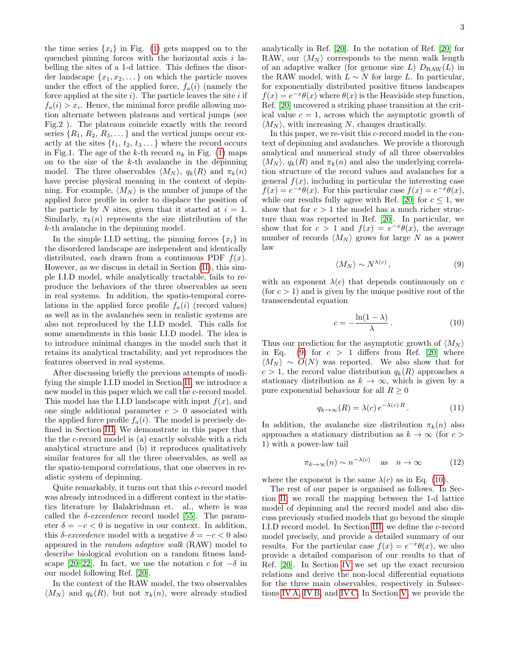the time series  $\{x_i\}$  in Fig. [\(1\)](#page-0-0) gets mapped on to the quenched pinning forces with the horizontal axis  $i$  labelling the sites of a 1-d lattice. This defines the disorder landscape  $\{x_1, x_2, \ldots\}$  on which the particle moves under the effect of the applied force,  $f_a(i)$  (namely the force applied at the site  $i$ ). The particle leaves the site  $i$  if  $f_a(i) > x_i$ . Hence, the minimal force profile allowing motion alternate between plateaus and vertical jumps (see Fig.2 ). The plateaus coincide exactly with the record series  $\{R_1, R_2, R_3, \dots\}$  and the vertical jumps occur exactly at the sites  $\{t_1, t_2, t_3 \dots\}$  where the record occurs in Fig.1. The age of the k-th record  $n_k$  in Fig. [\(1\)](#page-0-0) maps on to the size of the  $k$ -th avalanche in the depinning model. The three observables  $\langle M_N \rangle$ ,  $q_k(R)$  and  $\pi_k(n)$ have precise physical meaning in the context of depinning. For example,  $\langle M_N \rangle$  is the number of jumps of the applied force profile in order to displace the position of the particle by N sites, given that it started at  $i = 1$ . Similarly,  $\pi_k(n)$  represents the size distribution of the k-th avalanche in the depinning model.

In the simple I.I.D setting, the pinning forces  $\{x_i\}$  in the disordered landscape are independent and identically distributed, each drawn from a continuous PDF  $f(x)$ . However, as we discuss in detail in Section [\(II\)](#page-3-0), this simple I.I.D model, while analytically tractable, fails to reproduce the behaviors of the three observables as seen in real systems. In addition, the spatio-temporal correlations in the applied force profile  $f_a(i)$  (record values) as well as in the avalanches seen in realistic systems are also not reproduced by the I.I.D model. This calls for some amendments in this basic I.I.D model. The idea is to introduce minimal changes in the model such that it retains its analytical tractability, and yet reproduces the features observed in real systems.

After discussing briefly the previous attempts of modifying the simple I.I.D model in Section [II,](#page-3-0) we introduce a new model in this paper which we call the c-record model. This model has the I.I.D landscape with input  $f(x)$ , and one single additional parameter  $c > 0$  associated with the applied force profile  $f_a(i)$ . The model is precisely defined in Section [III.](#page-4-0) We demonstrate in this paper that the the c-record model is (a) exactly solvable with a rich analytical structure and (b) it reproduces qualitatively similar features for all the three observables, as well as the spatio-temporal correlations, that one observes in realistic system of depinning.

Quite remarkably, it turns out that this c-record model was already introduced in a different context in the statistics literature by Balakrishnan et. al., where is was called the  $\delta$ -exceedence record model [\[55\]](#page-19-2). The parameter  $\delta = -c < 0$  is negative in our context. In addition, this  $\delta$ -exceedence model with a negative  $\delta = -c < 0$  also appeared in the random adaptive walk (RAW) model to describe biological evolution on a random fitness land-scape [\[20](#page-18-26)[–22\]](#page-18-7). In fact, we use the notation c for  $-\delta$  in our model following Ref. [\[20\]](#page-18-26).

In the context of the RAW model, the two observables  $\langle M_N \rangle$  and  $q_k(R)$ , but not  $\pi_k(n)$ , were already studied

analytically in Ref. [\[20\]](#page-18-26). In the notation of Ref. [\[20\]](#page-18-26) for RAW, our  $\langle M_N \rangle$  corresponds to the mean walk length of an adaptive walker (for genome size L)  $D_{\text{RAW}}(L)$  in the RAW model, with  $L \sim N$  for large L. In particular, for exponentially distributed positive fitness landscapes  $f(x) = e^{-x}\theta(x)$  where  $\theta(x)$  is the Heaviside step function, Ref. [\[20\]](#page-18-26) uncovered a striking phase transition at the critical value  $c = 1$ , across which the asymptotic growth of  $\langle M_N \rangle$ , with increasing N, changes drastically.

In this paper, we re-visit this c-record model in the context of depinning and avalanches. We provide a thorough analytical and numerical study of all three observables  $\langle M_N \rangle$ ,  $q_k(R)$  and  $\pi_k(n)$  and also the underlying correlation structure of the record values and avalanches for a general  $f(x)$ , including in particular the interesting case  $f(x) = e^{-x}\theta(x)$ . For this particular case  $f(x) = e^{-x}\theta(x)$ , while our results fully agree with Ref. [\[20\]](#page-18-26) for  $c \leq 1$ , we show that for  $c > 1$  the model has a much richer structure than was reported in Ref. [\[20\]](#page-18-26). In particular, we show that for  $c > 1$  and  $f(x) = e^{-x} \theta(x)$ , the average number of records  $\langle M_N \rangle$  grows for large N as a power law

<span id="page-2-0"></span>
$$
\langle M_N \rangle \sim N^{\lambda(c)},\tag{9}
$$

with an exponent  $\lambda(c)$  that depends continuously on c (for  $c > 1$ ) and is given by the unique positive root of the transcendental equation

<span id="page-2-1"></span>
$$
c = -\frac{\ln(1-\lambda)}{\lambda} \,. \tag{10}
$$

Thus our prediction for the asymptotic growth of  $\langle M_N \rangle$ in Eq. [\(9\)](#page-2-0) for  $c > 1$  differs from Ref. [\[20\]](#page-18-26) where  $\langle M_N \rangle \sim O(N)$  was reported. We also show that for  $c > 1$ , the record value distribution  $q_k(R)$  approaches a stationary distribution as  $k \to \infty$ , which is given by a pure exponential behaviour for all  $R \geq 0$ 

$$
q_{k \to \infty}(R) = \lambda(c) e^{-\lambda(c) R}.
$$
 (11)

In addition, the avalanche size distribution  $\pi_k(n)$  also approaches a stationary distribution as  $k \to \infty$  (for  $c >$ 1) with a power-law tail

$$
\pi_{k \to \infty}(n) \sim n^{-\lambda(c)} \quad \text{as} \quad n \to \infty \tag{12}
$$

where the exponent is the same  $\lambda(c)$  as in Eq. [\(10\)](#page-2-1).

The rest of our paper is organised as follows. In Section [II,](#page-3-0) we recall the mapping between the 1-d lattice model of depinning and the record model and also discuss previously studied models that go beyond the simple I.I.D record model. In Section [III,](#page-4-0) we define the c-record model precisely, and provide a detailed summary of our results. For the particular case  $f(x) = e^{-x}\theta(x)$ , we also provide a detailed comparison of our results to that of Ref. [\[20\]](#page-18-26). In Section [IV](#page-6-0) we set up the exact recursion relations and derive the non-local differential equations for the three main observables, respectively in Subsections [IV A,](#page-6-1) [IV B,](#page-7-0) and [IV C.](#page-8-0) In Section [V,](#page-8-1) we provide the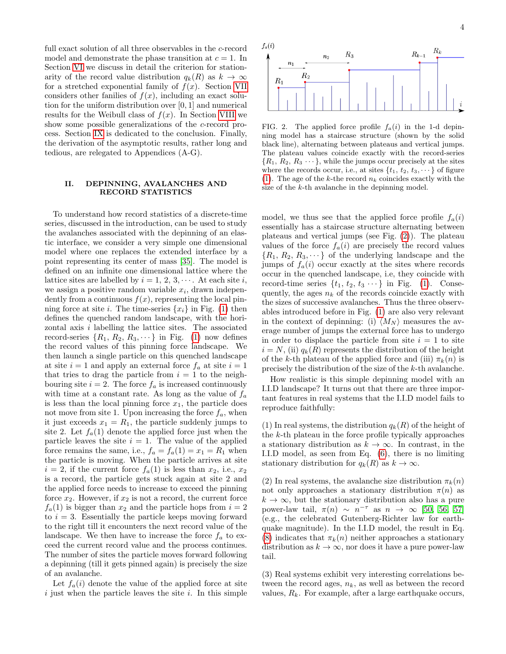full exact solution of all three observables in the c-record model and demonstrate the phase transition at  $c = 1$ . In Section [VI](#page-11-0) we discuss in detail the criterion for stationarity of the record value distribution  $q_k(R)$  as  $k \to \infty$ for a stretched exponential family of  $f(x)$ . Section [VII](#page-14-0) considers other fanilies of  $f(x)$ , including an exact solution for the uniform distribution over [0, 1] and numerical results for the Weibull class of  $f(x)$ . In Section [VIII](#page-16-0) we show some possible generalizations of the c-record process. Section [IX](#page-17-0) is dedicated to the conclusion. Finally, the derivation of the asymptotic results, rather long and tedious, are relegated to Appendices (A-G).

## <span id="page-3-0"></span>II. DEPINNING, AVALANCHES AND RECORD STATISTICS

To understand how record statistics of a discrete-time series, discussed in the introduction, can be used to study the avalanches associated with the depinning of an elastic interface, we consider a very simple one dimensional model where one replaces the extended interface by a point representing its center of mass [\[35\]](#page-18-13). The model is defined on an infinite one dimensional lattice where the lattice sites are labelled by  $i = 1, 2, 3, \cdots$ . At each site i, we assign a positive random variable  $x_i$ , drawn independently from a continuous  $f(x)$ , representing the local pinning force at site *i*. The time-series  $\{x_i\}$  in Fig. [\(1\)](#page-0-0) then defines the quenched random landscape, with the horizontal axis i labelling the lattice sites. The associated record-series  $\{R_1, R_2, R_3, \dots\}$  in Fig. [\(1\)](#page-0-0) now defines the record values of this pinning force landscape. We then launch a single particle on this quenched landscape at site  $i = 1$  and apply an external force  $f_a$  at site  $i = 1$ that tries to drag the particle from  $i = 1$  to the neighbouring site  $i = 2$ . The force  $f_a$  is increased continuously with time at a constant rate. As long as the value of  $f_a$ is less than the local pinning force  $x_1$ , the particle does not move from site 1. Upon increasing the force  $f_a$ , when it just exceeds  $x_1 = R_1$ , the particle suddenly jumps to site 2. Let  $f_a(1)$  denote the applied force just when the particle leaves the site  $i = 1$ . The value of the applied force remains the same, i.e.,  $f_a = f_a(1) = x_1 = R_1$  when the particle is moving. When the particle arrives at site  $i = 2$ , if the current force  $f_a(1)$  is less than  $x_2$ , i.e.,  $x_2$ is a record, the particle gets stuck again at site 2 and the applied force needs to increase to exceed the pinning force  $x_2$ . However, if  $x_2$  is not a record, the current force  $f_a(1)$  is bigger than  $x_2$  and the particle hops from  $i = 2$ to  $i = 3$ . Essentially the particle keeps moving forward to the right till it encounters the next record value of the landscape. We then have to increase the force  $f_a$  to exceed the current record value and the process continues. The number of sites the particle moves forward following a depinning (till it gets pinned again) is precisely the size of an avalanche.

Let  $f_a(i)$  denote the value of the applied force at site  $i$  just when the particle leaves the site  $i$ . In this simple



<span id="page-3-1"></span>FIG. 2. The applied force profile  $f_a(i)$  in the 1-d depinning model has a staircase structure (shown by the solid black line), alternating between plateaus and vertical jumps. The plateau values coincide exactly with the record-series  $\{R_1, R_2, R_3 \cdots\}$ , while the jumps occur precisely at the sites where the records occur, i.e., at sites  $\{t_1, t_2, t_3, \dots\}$  of figure [\(1\)](#page-0-0). The age of the k-the record  $n_k$  coincides exactly with the size of the k-th avalanche in the depinning model.

model, we thus see that the applied force profile  $f_a(i)$ essentially has a staircase structure alternating between plateaus and vertical jumps (see Fig. [\(2\)](#page-3-1)). The plateau values of the force  $f_a(i)$  are precisely the record values  ${R_1, R_2, R_3, \dots}$  of the underlying landscape and the jumps of  $f_a(i)$  occur exactly at the sites where records occur in the quenched landscape, i.e, they coincide with record-time series  $\{t_1, t_2, t_3 \cdots\}$  in Fig. [\(1\)](#page-0-0). Consequently, the ages  $n_k$  of the records coincide exactly with the sizes of successive avalanches. Thus the three observables introduced before in Fig. [\(1\)](#page-0-0) are also very relevant in the context of depinning: (i)  $\langle M_N \rangle$  measures the average number of jumps the external force has to undergo in order to displace the particle from site  $i = 1$  to site  $i = N$ , (ii)  $q_k(R)$  represents the distribution of the height of the k-th plateau of the applied force and (iii)  $\pi_k(n)$  is precisely the distribution of the size of the k-th avalanche.

How realistic is this simple depinning model with an I.I.D landscape? It turns out that there are three important features in real systems that the I.I.D model fails to reproduce faithfully:

(1) In real systems, the distribution  $q_k(R)$  of the height of the  $k$ -th plateau in the force profile typically approaches a stationary distribution as  $k \to \infty$ . In contrast, in the I.I.D model, as seen from Eq. [\(6\)](#page-1-0), there is no limiting stationary distribution for  $q_k(R)$  as  $k \to \infty$ .

(2) In real systems, the avalanche size distribution  $\pi_k(n)$ not only approaches a stationary distribution  $\pi(n)$  as  $k \to \infty$ , but the stationary distribution also has a pure power-law tail,  $\pi(n) \sim n^{-\tau}$  as  $n \to \infty$  [\[50,](#page-18-27) [56,](#page-19-3) [57\]](#page-19-4) (e.g., the celebrated Gutenberg-Richter law for earthquake magnitude). In the I.I.D model, the result in Eq. [\(8\)](#page-1-1) indicates that  $\pi_k(n)$  neither approaches a stationary distribution as  $k \to \infty$ , nor does it have a pure power-law tail.

(3) Real systems exhibit very interesting correlations between the record ages,  $n_k$ , as well as between the record values,  $R_k$ . For example, after a large earthquake occurs,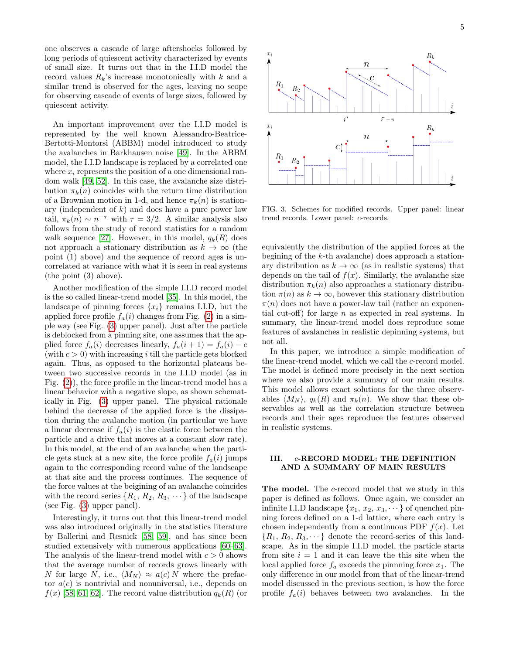one observes a cascade of large aftershocks followed by long periods of quiescent activity characterized by events of small size. It turns out that in the I.I.D model the record values  $R_k$ 's increase monotonically with k and a similar trend is observed for the ages, leaving no scope for observing cascade of events of large sizes, followed by quiescent activity.

An important improvement over the I.I.D model is represented by the well known Alessandro-Beatrice-Bertotti-Montorsi (ABBM) model introduced to study the avalanches in Barkhausen noise [\[49\]](#page-18-23). In the ABBM model, the I.I.D landscape is replaced by a correlated one where  $x_i$  represents the position of a one dimensional random walk [\[49,](#page-18-23) [52\]](#page-18-25). In this case, the avalanche size distribution  $\pi_k(n)$  coincides with the return time distribution of a Brownian motion in 1-d, and hence  $\pi_k(n)$  is stationary (independent of  $k$ ) and does have a pure power law tail,  $\pi_k(n) \sim n^{-\tau}$  with  $\tau = 3/2$ . A similar analysis also follows from the study of record statistics for a random walk sequence [\[27\]](#page-18-11). However, in this model,  $q_k(R)$  does not approach a stationary distribution as  $k \to \infty$  (the point (1) above) and the sequence of record ages is uncorrelated at variance with what it is seen in real systems (the point (3) above).

Another modification of the simple I.I.D record model is the so called linear-trend model [\[35\]](#page-18-13). In this model, the landscape of pinning forces  $\{x_i\}$  remains I.I.D, but the applied force profile  $f_a(i)$  changes from Fig. [\(2\)](#page-3-1) in a simple way (see Fig. [\(3\)](#page-4-1) upper panel). Just after the particle is deblocked from a pinning site, one assumes that the applied force  $f_a(i)$  decreases linearly,  $f_a(i + 1) = f_a(i) - c$ (with  $c > 0$ ) with increasing i till the particle gets blocked again. Thus, as opposed to the horizontal plateaus between two successive records in the I.I.D model (as in Fig. [\(2\)](#page-3-1)), the force profile in the linear-trend model has a linear behavior with a negative slope, as shown schematically in Fig. [\(3\)](#page-4-1) upper panel. The physical rationale behind the decrease of the applied force is the dissipation during the avalanche motion (in particular we have a linear decrease if  $f_a(i)$  is the elastic force between the particle and a drive that moves at a constant slow rate). In this model, at the end of an avalanche when the particle gets stuck at a new site, the force profile  $f_a(i)$  jumps again to the corresponding record value of the landscape at that site and the process continues. The sequence of the force values at the beigining of an avalanche coincides with the record series  $\{R_1, R_2, R_3, \dots\}$  of the landscape (see Fig. [\(3\)](#page-4-1) upper panel).

Interestingly, it turns out that this linear-trend model was also introduced originally in the statistics literature by Ballerini and Resnick [\[58,](#page-19-5) [59\]](#page-19-6), and has since been studied extensively with numerous applications [\[60–](#page-19-7)[63\]](#page-19-8). The analysis of the linear-trend model with  $c > 0$  shows that the average number of records grows linearly with N for large N, i.e.,  $\langle M_N \rangle \approx a(c) N$  where the prefactor  $a(c)$  is nontrivial and nonuniversal, i.e., depends on  $f(x)$  [\[58,](#page-19-5) [61,](#page-19-9) [62\]](#page-19-10). The record value distribution  $q_k(R)$  (or



<span id="page-4-1"></span>FIG. 3. Schemes for modified records. Upper panel: linear trend records. Lower panel: c-records.

equivalently the distribution of the applied forces at the begining of the k-th avalanche) does approach a stationary distribution as  $k \to \infty$  (as in realistic systems) that depends on the tail of  $f(x)$ . Similarly, the avalanche size distribution  $\pi_k(n)$  also approaches a stationary distribution  $\pi(n)$  as  $k \to \infty$ , however this stationary distribution  $\pi(n)$  does not have a power-law tail (rather an exponential cut-off) for large  $n$  as expected in real systems. In summary, the linear-trend model does reproduce some features of avalanches in realistic depinning systems, but not all.

In this paper, we introduce a simple modification of the linear-trend model, which we call the c-record model. The model is defined more precisely in the next section where we also provide a summary of our main results. This model allows exact solutions for the three observables  $\langle M_N \rangle$ ,  $q_k(R)$  and  $\pi_k(n)$ . We show that these observables as well as the correlation structure between records and their ages reproduce the features observed in realistic systems.

# <span id="page-4-0"></span>III. c-RECORD MODEL: THE DEFINITION AND A SUMMARY OF MAIN RESULTS

The model. The c-record model that we study in this paper is defined as follows. Once again, we consider an infinite I.I.D landscape  $\{x_1, x_2, x_3, \dots\}$  of quenched pinning forces defined on a 1-d lattice, where each entry is chosen independently from a continuous PDF  $f(x)$ . Let  ${R_1, R_2, R_3, \dots}$  denote the record-series of this landscape. As in the simple I.I.D model, the particle starts from site  $i = 1$  and it can leave the this site when the local applied force  $f_a$  exceeds the pinnning force  $x_1$ . The only difference in our model from that of the linear-trend model discussed in the previous section, is how the force profile  $f_a(i)$  behaves between two avalanches. In the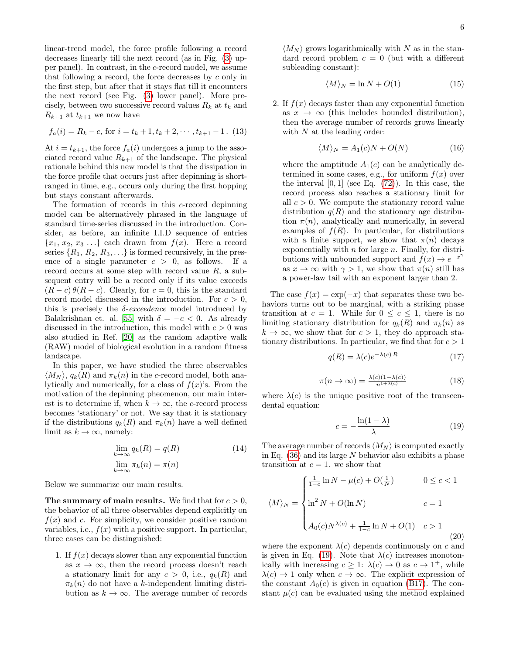linear-trend model, the force profile following a record decreases linearly till the next record (as in Fig. [\(3\)](#page-4-1) upper panel). In contrast, in the c-record model, we assume that following a record, the force decreases by  $c$  only in the first step, but after that it stays flat till it encounters the next record (see Fig. [\(3\)](#page-4-1) lower panel). More precisely, between two successive record values  $R_k$  at  $t_k$  and  $R_{k+1}$  at  $t_{k+1}$  we now have

$$
f_a(i) = R_k - c, \text{ for } i = t_k + 1, t_k + 2, \dots, t_{k+1} - 1. \tag{13}
$$

At  $i = t_{k+1}$ , the force  $f_a(i)$  undergoes a jump to the associated record value  $R_{k+1}$  of the landscape. The physical rationale behind this new model is that the dissipation in the force profile that occurs just after depinning is shortranged in time, e.g., occurs only during the first hopping but stays constant afterwards.

The formation of records in this c-record depinning model can be alternatively phrased in the language of standard time-series discussed in the introduction. Consider, as before, an infinite I.I.D sequence of entries  ${x_1, x_2, x_3 \ldots}$  each drawn from  $f(x)$ . Here a record series  $\{R_1, R_2, R_3, \ldots\}$  is formed recursively, in the presence of a single parameter  $c > 0$ , as follows. If a record occurs at some step with record value  $R$ , a subsequent entry will be a record only if its value exceeds  $(R - c) \theta(R - c)$ . Clearly, for  $c = 0$ , this is the standard record model discussed in the introduction. For  $c > 0$ , this is precisely the  $\delta$ -exceedence model introduced by Balakrishnan et. al. [\[55\]](#page-19-2) with  $\delta = -c < 0$ . As already discussed in the introduction, this model with  $c > 0$  was also studied in Ref. [\[20\]](#page-18-26) as the random adaptive walk (RAW) model of biological evolution in a random fitness landscape.

In this paper, we have studied the three observables  $\langle M_N \rangle$ ,  $q_k(R)$  and  $\pi_k(n)$  in the c-record model, both analytically and numerically, for a class of  $f(x)$ 's. From the motivation of the depinning pheomenon, our main interest is to determine if, when  $k \to \infty$ , the c-record process becomes 'stationary' or not. We say that it is stationary if the distributions  $q_k(R)$  and  $\pi_k(n)$  have a well defined limit as  $k \to \infty$ , namely:

$$
\lim_{k \to \infty} q_k(R) = q(R)
$$
\n
$$
\lim_{k \to \infty} \pi_k(n) = \pi(n)
$$
\n(14)

Below we summarize our main results.

The summary of main results. We find that for  $c > 0$ , the behavior of all three observables depend explicitly on  $f(x)$  and c. For simplicity, we consider positive random variables, i.e.,  $f(x)$  with a positive support. In particular, three cases can be distinguished:

1. If  $f(x)$  decays slower than any exponential function as  $x \to \infty$ , then the record process doesn't reach a stationary limit for any  $c > 0$ , i.e.,  $q_k(R)$  and  $\pi_k(n)$  do not have a k-independent limiting distribution as  $k \to \infty$ . The average number of records

 $\langle M_N \rangle$  grows logarithmically with N as in the standard record problem  $c = 0$  (but with a different subleading constant):

$$
\langle M \rangle_N = \ln N + O(1) \tag{15}
$$

2. If  $f(x)$  decays faster than any exponential function as  $x \to \infty$  (this includes bounded distribution), then the average number of records grows linearly with  $N$  at the leading order:

$$
\langle M \rangle_N = A_1(c)N + O(N) \tag{16}
$$

where the amptitude  $A_1(c)$  can be analytically determined in some cases, e.g., for uniform  $f(x)$  over the interval  $[0, 1]$  (see Eq.  $(72)$ ). In this case, the record process also reaches a stationary limit for all  $c > 0$ . We compute the stationary record value distribution  $q(R)$  and the stationary age distribution  $\pi(n)$ , analytically and numerically, in several examples of  $f(R)$ . In particular, for distributions with a finite support, we show that  $\pi(n)$  decays exponentially with  $n$  for large  $n$ . Finally, for distributions with unbounded support and  $f(x) \to e^{-x^{\gamma}}$ as  $x \to \infty$  with  $\gamma > 1$ , we show that  $\pi(n)$  still has a power-law tail with an exponent larger than 2.

The case  $f(x) = \exp(-x)$  that separates these two behaviors turns out to be marginal, with a striking phase transition at  $c = 1$ . While for  $0 \leq c \leq 1$ , there is no limiting stationary distribution for  $q_k(R)$  and  $\pi_k(n)$  as  $k \to \infty$ , we show that for  $c > 1$ , they do approach stationary distributions. In particular, we find that for  $c > 1$ 

<span id="page-5-2"></span>
$$
q(R) = \lambda(c)e^{-\lambda(c)R} \tag{17}
$$

$$
\pi(n \to \infty) = \frac{\lambda(c)(1 - \lambda(c))}{n^{1 + \lambda(c)}}
$$
\n(18)

where  $\lambda(c)$  is the unique positive root of the transcendental equation:

<span id="page-5-0"></span>
$$
c = -\frac{\ln(1-\lambda)}{\lambda} \tag{19}
$$

The average number of records  $\langle M_N \rangle$  is computed exactly in Eq.  $(36)$  and its large N behavior also exhibits a phase transition at  $c = 1$ . we show that

<span id="page-5-1"></span>
$$
\langle M \rangle_N = \begin{cases} \frac{1}{1-c} \ln N - \mu(c) + O(\frac{1}{N}) & 0 \le c < 1 \\ \ln^2 N + O(\ln N) & c = 1 \\ A_0(c) N^{\lambda(c)} + \frac{1}{1-c} \ln N + O(1) & c > 1 \end{cases}
$$
(20)

where the exponent  $\lambda(c)$  depends continuously on c and is given in Eq. [\(19\)](#page-5-0). Note that  $\lambda(c)$  increases monotonically with increasing  $c \geq 1$ :  $\lambda(c) \to 0$  as  $c \to 1^+$ , while  $\lambda(c) \rightarrow 1$  only when  $c \rightarrow \infty$ . The explicit expression of the constant  $A_0(c)$  is given in equation [\(B17\)](#page-22-0). The constant  $\mu(c)$  can be evaluated using the method explained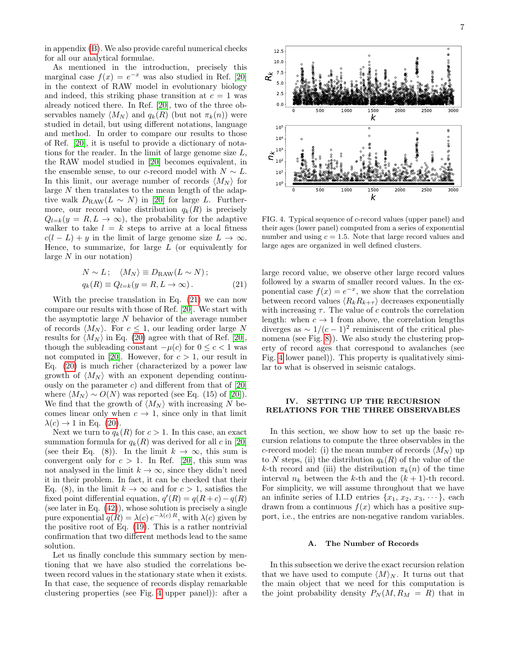in appendix [\(B\)](#page-20-0). We also provide careful numerical checks for all our analytical formulae.

As mentioned in the introduction, precisely this marginal case  $f(x) = e^{-x}$  was also studied in Ref. [\[20\]](#page-18-26) in the context of RAW model in evolutionary biology and indeed, this striking phase transition at  $c = 1$  was already noticed there. In Ref. [\[20\]](#page-18-26), two of the three observables namely  $\langle M_N \rangle$  and  $q_k(R)$  (but not  $\pi_k(n)$ ) were studied in detail, but using different notations, language and method. In order to compare our results to those of Ref. [\[20\]](#page-18-26), it is useful to provide a dictionary of notations for the reader. In the limit of large genome size  $L$ , the RAW model studied in [\[20\]](#page-18-26) becomes equivalent, in the ensemble sense, to our c-record model with  $N \sim L$ . In this limit, our average number of records  $\langle M_N \rangle$  for large N then translates to the mean length of the adaptive walk  $D_{\text{RAW}}(L \sim N)$  in [\[20\]](#page-18-26) for large L. Furthermore, our record value distribution  $q_k(R)$  is precisely  $Q_{l=k}(y = R, L \rightarrow \infty)$ , the probability for the adaptive walker to take  $l = k$  steps to arrive at a local fitness  $c(l - L) + y$  in the limit of large genome size  $L \to \infty$ . Hence, to summarize, for large  $L$  (or equivalently for large  $N$  in our notation)

<span id="page-6-2"></span>
$$
N \sim L; \quad \langle M_N \rangle \equiv D_{\text{RAW}}(L \sim N); q_k(R) \equiv Q_{l=k}(y = R, L \to \infty).
$$
 (21)

With the precise translation in Eq. [\(21\)](#page-6-2) we can now compare our results with those of Ref. [\[20\]](#page-18-26). We start with the asymptotic large  $N$  behavior of the average number of records  $\langle M_N \rangle$ . For  $c \leq 1$ , our leading order large N results for  $\langle M_N \rangle$  in Eq. [\(20\)](#page-5-1) agree with that of Ref. [\[20\]](#page-18-26), though the subleading constant  $-\mu(c)$  for  $0 \leq c < 1$  was not computed in [\[20\]](#page-18-26). However, for  $c > 1$ , our result in Eq. [\(20\)](#page-5-1) is much richer (characterized by a power law growth of  $\langle M_N \rangle$  with an exponent depending continuously on the parameter  $c$ ) and different from that of [\[20\]](#page-18-26) where  $\langle M_N \rangle \sim O(N)$  was reported (see Eq. (15) of [\[20\]](#page-18-26)). We find that the growth of  $\langle M_N \rangle$  with increasing N becomes linear only when  $c \to 1$ , since only in that limit  $\lambda(c) \rightarrow 1$  in Eq. [\(20\)](#page-5-1).

Next we turn to  $q_k(R)$  for  $c > 1$ . In this case, an exact summation formula for  $q_k(R)$  was derived for all c in [\[20\]](#page-18-26) (see their Eq. (8)). In the limit  $k \to \infty$ , this sum is convergent only for  $c > 1$ . In Ref. [\[20\]](#page-18-26), this sum was not analysed in the limit  $k \to \infty$ , since they didn't need it in their problem. In fact, it can be checked that their Eq. (8), in the limit  $k \to \infty$  and for  $c > 1$ , satisfies the fixed point differential equation,  $q'(R) = q(R+c) - q(R)$ (see later in Eq. [\(42\)](#page-9-0)), whose solution is precisely a single pure exponential  $q(R) = \lambda(c) e^{-\lambda(c) R}$ , with  $\lambda(c)$  given by the positive root of Eq. [\(19\)](#page-5-0). This is a rather nontrivial confirmation that two different methods lead to the same solution.

Let us finally conclude this summary section by mentioning that we have also studied the correlations between record values in the stationary state when it exists. In that case, the sequence of records display remarkable clustering properties (see Fig. [4](#page-6-3) upper panel)): after a



<span id="page-6-3"></span>FIG. 4. Typical sequence of c-record values (upper panel) and their ages (lower panel) computed from a series of exponential number and using  $c = 1.5$ . Note that large record values and large ages are organized in well defined clusters.

large record value, we observe other large record values followed by a swarm of smaller record values. In the exponential case  $f(x) = e^{-x}$ , we show that the correlation between record values  $\langle R_k R_{k+\tau} \rangle$  decreases exponentially with increasing  $\tau$ . The value of c controls the correlation length: when  $c \to 1$  from above, the correlation lengths diverges as  $\sim 1/(c-1)^2$  reminiscent of the critical phenomena (see Fig. [8\)](#page-10-0)). We also study the clustering property of record ages that correspond to avalanches (see Fig. [4](#page-6-3) lower panel)). This property is qualitatively similar to what is observed in seismic catalogs.

## <span id="page-6-0"></span>IV. SETTING UP THE RECURSION RELATIONS FOR THE THREE OBSERVABLES

In this section, we show how to set up the basic recursion relations to compute the three observables in the c-record model: (i) the mean number of records  $\langle M_N \rangle$  up to N steps, (ii) the distribution  $q_k(R)$  of the value of the k-th record and (iii) the distribution  $\pi_k(n)$  of the time interval  $n_k$  between the k-th and the  $(k + 1)$ -th record. For simplicity, we will assume throughout that we have an infinite series of I.I.D entries  $\{x_1, x_2, x_3, \dots\}$ , each drawn from a continuous  $f(x)$  which has a positive support, i.e., the entries are non-negative random variables.

## <span id="page-6-1"></span>A. The Number of Records

In this subsection we derive the exact recursion relation that we have used to compute  $\langle M \rangle_N$ . It turns out that the main object that we need for this computation is the joint probability density  $P_N(M, R_M = R)$  that in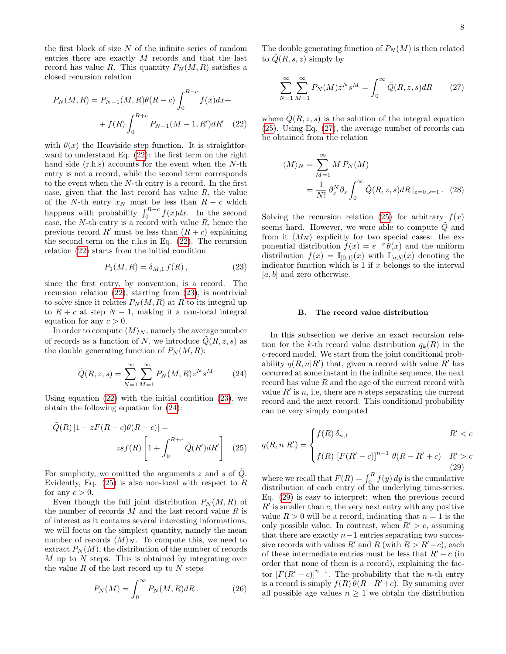the first block of size  $N$  of the infinite series of random entries there are exactly M records and that the last record has value R. This quantity  $P_N(M, R)$  satisfies a closed recursion relation

$$
P_N(M, R) = P_{N-1}(M, R)\theta(R - c) \int_0^{R-c} f(x)dx +
$$

$$
+ f(R) \int_0^{R+c} P_{N-1}(M - 1, R')dR' \quad (22)
$$

with  $\theta(x)$  the Heaviside step function. It is straightforward to understand Eq. [\(22\)](#page-7-1): the first term on the right hand side (r.h.s) accounts for the event when the N-th entry is not a record, while the second term corresponds to the event when the  $N$ -th entry is a record. In the first case, given that the last record has value  $R$ , the value of the N-th entry  $x_N$  must be less than  $R - c$  which happens with probability  $\int_0^{R-c} f(x) dx$ . In the second case, the  $N$ -th entry is a record with value  $R$ , hence the previous record R' must be less than  $(R + c)$  explaining the second term on the r.h.s in Eq. [\(22\)](#page-7-1). The recursion relation [\(22\)](#page-7-1) starts from the initial condition

<span id="page-7-2"></span>
$$
P_1(M, R) = \delta_{M,1} f(R) , \qquad (23)
$$

since the first entry, by convention, is a record. The recursion relation [\(22\)](#page-7-1), starting from [\(23\)](#page-7-2), is nontrivial to solve since it relates  $P_N(M, R)$  at R to its integral up to  $R + c$  at step  $N - 1$ , making it a non-local integral equation for any  $c > 0$ .

In order to compute  $\langle M \rangle_N$ , namely the average number of records as a function of N, we introduce  $\tilde{Q}(R, z, s)$  as the double generating function of  $P_N(M, R)$ :

<span id="page-7-3"></span>
$$
\tilde{Q}(R, z, s) = \sum_{N=1}^{\infty} \sum_{M=1}^{\infty} P_N(M, R) z^N s^M
$$
 (24)

Using equation  $(22)$  with the initial condition  $(23)$ , we obtain the following equation for [\(24\)](#page-7-3):

$$
\tilde{Q}(R) \left[1 - zF(R - c)\theta(R - c)\right] =
$$
  

$$
zsf(R) \left[1 + \int_0^{R + c} \tilde{Q}(R')dR'\right]
$$
 (25)

For simplicity, we omitted the arguments z and s of  $\tilde{Q}$ . Evidently, Eq.  $(25)$  is also non-local with respect to R for any  $c > 0$ .

Even though the full joint distribution  $P_N(M, R)$  of the number of records  $M$  and the last record value  $R$  is of interest as it contains several interesting informations, we will focus on the simplest quantity, namely the mean number of records  $\langle M \rangle_N$ . To compute this, we need to extract  $P_N(M)$ , the distribution of the number of records  $M$  up to  $N$  steps. This is obtained by integrating over the value  $R$  of the last record up to  $N$  steps

$$
P_N(M) = \int_0^\infty P_N(M, R) dR.
$$
 (26)

The double generating function of  $P_N(M)$  is then related to  $Q(R, s, z)$  simply by

<span id="page-7-5"></span>
$$
\sum_{N=1}^{\infty} \sum_{M=1}^{\infty} P_N(M) z^N s^M = \int_0^{\infty} \tilde{Q}(R, z, s) dR \qquad (27)
$$

<span id="page-7-1"></span>where  $\tilde{Q}(R, z, s)$  is the solution of the integral equation [\(25\)](#page-7-4). Using Eq. [\(27\)](#page-7-5), the average number of records can be obtained from the relation

<span id="page-7-7"></span>
$$
\langle M \rangle_N = \sum_{M=1}^{\infty} M P_N(M)
$$
  
= 
$$
\frac{1}{N!} \partial_z^N \partial_s \int_0^{\infty} \tilde{Q}(R, z, s) dR |_{z=0, s=1}.
$$
 (28)

Solving the recursion relation [\(25\)](#page-7-4) for arbitrary  $f(x)$ seems hard. However, we were able to compute  $\tilde{Q}$  and from it  $\langle M_N \rangle$  explicitly for two special cases: the exponential distribution  $f(x) = e^{-x} \theta(x)$  and the uniform distribution  $f(x) = \mathbb{I}_{[0,1]}(x)$  with  $\mathbb{I}_{[a,b]}(x)$  denoting the indicator function which is  $1$  if  $x$  belongs to the interval  $[a, b]$  and zero otherwise.

## <span id="page-7-0"></span>B. The record value distribution

In this subsection we derive an exact recursion relation for the k-th record value distribution  $q_k(R)$  in the c-record model. We start from the joint conditional probability  $q(R, n|R')$  that, given a record with value R' has occurred at some instant in the infinite sequence, the next record has value R and the age of the current record with value  $R'$  is n, i.e, there are n steps separating the current record and the next record. This conditional probability can be very simply computed

<span id="page-7-6"></span><span id="page-7-4"></span>
$$
q(R, n|R') = \begin{cases} f(R)\,\delta_{n,1} & R' < c\\ f(R) \left[ F(R' - c) \right]^{n-1} \theta(R - R' + c) & R' > c \end{cases}
$$
\n(29)

where we recall that  $F(R) = \int_0^R f(y) dy$  is the cumulative distribution of each entry of the underlying time-series. Eq. [\(29\)](#page-7-6) is easy to interpret: when the previous record  $R'$  is smaller than c, the very next entry with any positive value  $R > 0$  will be a record, indicating that  $n = 1$  is the only possible value. In contrast, when  $R' > c$ , assuming that there are exactly  $n-1$  entries separating two successive records with values R' and R (with  $R > R'-c$ ), each of these intermediate entries must be less that  $R'-c$  (in order that none of them is a record), explaining the factor  $[F(R'-c)]^{n-1}$ . The probability that the *n*-th entry is a record is simply  $f(R) \theta(R-R'+c)$ . By summing over all possible age values  $n \geq 1$  we obtain the distribution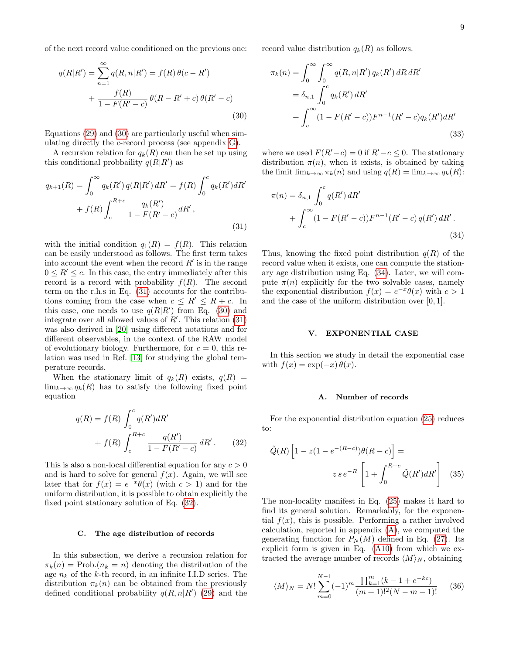of the next record value conditioned on the previous one:

<span id="page-8-3"></span>
$$
q(R|R') = \sum_{n=1}^{\infty} q(R, n|R') = f(R)\,\theta(c - R')
$$

$$
+ \frac{f(R)}{1 - F(R' - c)}\,\theta(R - R' + c)\,\theta(R' - c)
$$
(30)

Equations [\(29\)](#page-7-6) and [\(30\)](#page-8-3) are particularly useful when simulating directly the c-record process (see appendix [G\)](#page-24-0).

A recursion relation for  $q_k(R)$  can then be set up using this conditional probbaility  $q(R|R)$  as

<span id="page-8-4"></span>
$$
q_{k+1}(R) = \int_0^\infty q_k(R') q(R|R') dR' = f(R) \int_0^c q_k(R') dR' + f(R) \int_c^{R+c} \frac{q_k(R')}{1 - F(R' - c)} dR',
$$
\n(31)

with the initial condition  $q_1(R) = f(R)$ . This relation can be easily understood as follows. The first term takes into account the event when the record  $R'$  is in the range  $0 \leq R' \leq c$ . In this case, the entry immediately after this record is a record with probability  $f(R)$ . The second term on the r.h.s in Eq. [\(31\)](#page-8-4) accounts for the contributions coming from the case when  $c \leq R' \leq R + c$ . In this case, one needs to use  $q(R|R')$  from Eq. [\(30\)](#page-8-3) and integrate over all allowed values of  $R'$ . This relation  $(31)$ was also derived in [\[20\]](#page-18-26) using different notations and for different observables, in the context of the RAW model of evolutionary biology. Furthermore, for  $c = 0$ , this relation was used in Ref. [\[13\]](#page-18-28) for studying the global temperature records.

When the stationary limit of  $q_k(R)$  exists,  $q(R)$  =  $\lim_{k\to\infty} q_k(R)$  has to satisfy the following fixed point equation

<span id="page-8-5"></span>
$$
q(R) = f(R) \int_0^c q(R')dR' + f(R) \int_c^{R+c} \frac{q(R')}{1 - F(R' - c)} dR'.
$$
 (32)

This is also a non-local differential equation for any  $c > 0$ and is hard to solve for general  $f(x)$ . Again, we will see later that for  $f(x) = e^{-x}\theta(x)$  (with  $c > 1$ ) and for the uniform distribution, it is possible to obtain explicitly the fixed point stationary solution of Eq. [\(32\)](#page-8-5).

#### <span id="page-8-0"></span>C. The age distribution of records

In this subsection, we derive a recursion relation for  $\pi_k(n) = \text{Prob.}(n_k = n)$  denoting the distribution of the age  $n_k$  of the k-th record, in an infinite I.I.D series. The distribution  $\pi_k(n)$  can be obtained from the previously defined conditional probability  $q(R, n|R')$  [\(29\)](#page-7-6) and the record value distribution  $q_k(R)$  as follows.

$$
\pi_k(n) = \int_0^\infty \int_0^\infty q(R, n|R') q_k(R') dR dR'
$$
  
=  $\delta_{n,1} \int_0^c q_k(R') dR'$   
+  $\int_c^\infty (1 - F(R' - c)) F^{n-1}(R' - c) q_k(R') dR'$  (33)

where we used  $F(R'-c) = 0$  if  $R'-c \leq 0$ . The stationary distribution  $\pi(n)$ , when it exists, is obtained by taking the limit  $\lim_{k\to\infty} \pi_k(n)$  and using  $q(R) = \lim_{k\to\infty} q_k(R)$ :

<span id="page-8-6"></span>
$$
\pi(n) = \delta_{n,1} \int_0^c q(R') dR' + \int_c^\infty (1 - F(R' - c)) F^{n-1}(R' - c) q(R') dR'.
$$
\n(34)

Thus, knowing the fixed point distribution  $q(R)$  of the record value when it exists, one can compute the stationary age distribution using Eq. [\(34\)](#page-8-6). Later, we will compute  $\pi(n)$  explicitly for the two solvable cases, namely the exponential distribution  $f(x) = e^{-x}\theta(x)$  with  $c > 1$ and the case of the uniform distribution over [0, 1].

#### <span id="page-8-1"></span>V. EXPONENTIAL CASE

In this section we study in detail the exponential case with  $f(x) = \exp(-x) \theta(x)$ .

#### <span id="page-8-7"></span>A. Number of records

For the exponential distribution equation [\(25\)](#page-7-4) reduces to:

$$
\tilde{Q}(R)\left[1-z(1-e^{-(R-c)})\theta(R-c)\right]=\n\qquad\nz se^{-R}\left[1+\int_{0}^{R+c}\tilde{Q}(R')dR'\right]\n\tag{35}
$$

The non-locality manifest in Eq. [\(25\)](#page-7-4) makes it hard to find its general solution. Remarkably, for the exponential  $f(x)$ , this is possible. Performing a rather involved calculation, reported in appendix [\(A\)](#page-19-11), we computed the generating function for  $P_N(M)$  defined in Eq. [\(27\)](#page-7-5). Its explicit form is given in Eq. [\(A10\)](#page-20-1) from which we extracted the average number of records  $\langle M \rangle_N$ , obtaining

<span id="page-8-2"></span>
$$
\langle M \rangle_N = N! \sum_{m=0}^{N-1} (-1)^m \frac{\prod_{k=1}^m (k-1+e^{-kc})}{(m+1)!^2 (N-m-1)!}
$$
 (36)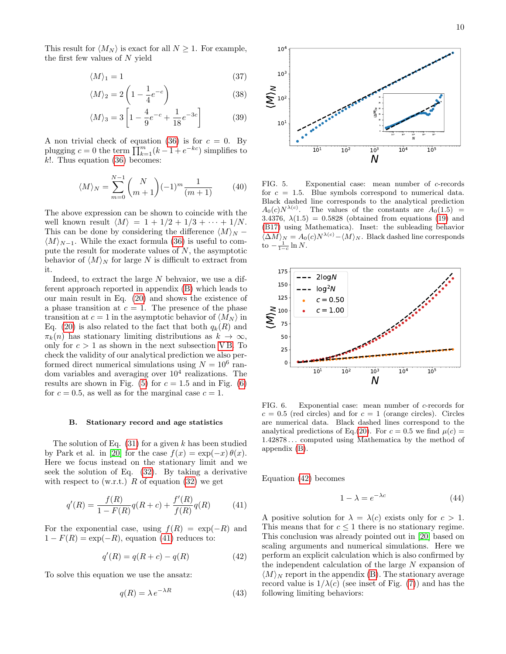This result for  $\langle M_N \rangle$  is exact for all  $N \geq 1$ . For example, the first few values of  $N$  yield

$$
\langle M \rangle_1 = 1 \tag{37}
$$

$$
\langle M \rangle_2 = 2 \left( 1 - \frac{1}{4} e^{-c} \right) \tag{38}
$$

$$
\langle M \rangle_3 = 3 \left[ 1 - \frac{4}{9} e^{-c} + \frac{1}{18} e^{-3c} \right]
$$
 (39)

A non trivial check of equation [\(36\)](#page-8-2) is for  $c = 0$ . By plugging  $c = 0$  the term  $\prod_{k=1}^{m} (k-1 + e^{-kc})$  simplifies to  $k!$ . Thus equation [\(36\)](#page-8-2) becomes:

$$
\langle M \rangle_N = \sum_{m=0}^{N-1} {N \choose m+1} (-1)^m \frac{1}{(m+1)}
$$
 (40)

The above expression can be shown to coincide with the well known result  $\langle M \rangle = 1 + 1/2 + 1/3 + \cdots + 1/N$ . This can be done by considering the difference  $\langle M \rangle_N$  −  $\langle M \rangle_{N-1}$ . While the exact formula [\(36\)](#page-8-2) is useful to compute the result for moderate values of  $N$ , the asymptotic behavior of  $\langle M \rangle_N$  for large N is difficult to extract from it.

Indeed, to extract the large N behvaior, we use a different approach reported in appendix [\(B\)](#page-20-0) which leads to our main result in Eq. [\(20\)](#page-5-1) and shows the existence of a phase transition at  $c = 1$ . The presence of the phase transition at  $c = 1$  in the asymptotic behavior of  $\langle M_N \rangle$  in Eq. [\(20\)](#page-5-1) is also related to the fact that both  $q_k(R)$  and  $\pi_k(n)$  has stationary limiting distributions as  $k \to \infty$ , only for  $c > 1$  as shown in the next subsection VB. To check the validity of our analytical prediction we also performed direct numerical simulations using  $N = 10^6$  random variables and averaging over  $10^4$  realizations. The results are shown in Fig. [\(5\)](#page-9-2) for  $c = 1.5$  and in Fig. [\(6\)](#page-9-3) for  $c = 0.5$ , as well as for the marginal case  $c = 1$ .

### <span id="page-9-1"></span>B. Stationary record and age statistics

The solution of Eq.  $(31)$  for a given k has been studied by Park et al. in [\[20\]](#page-18-26) for the case  $f(x) = \exp(-x)\theta(x)$ . Here we focus instead on the stationary limit and we seek the solution of Eq. [\(32\)](#page-8-5). By taking a derivative with respect to (w.r.t.) R of equation  $(32)$  we get

<span id="page-9-4"></span>
$$
q'(R) = \frac{f(R)}{1 - F(R)} q(R + c) + \frac{f'(R)}{f(R)} q(R)
$$
(41)

For the exponential case, using  $f(R) = \exp(-R)$  and  $1 - F(R) = \exp(-R)$ , equation [\(41\)](#page-9-4) reduces to:

<span id="page-9-0"></span>
$$
q'(R) = q(R+c) - q(R)
$$
\n
$$
(42)
$$

To solve this equation we use the ansatz:

<span id="page-9-5"></span>
$$
q(R) = \lambda e^{-\lambda R} \tag{43}
$$



<span id="page-9-2"></span>FIG. 5. Exponential case: mean number of c-records for  $c = 1.5$ . Blue symbols correspond to numerical data. Black dashed line corresponds to the analytical prediction  $A_0(c)N^{\lambda(c)}$ . The values of the constants are  $A_0(1.5)$  = 3.4376,  $\lambda(1.5) = 0.5828$  (obtained from equations [\(19\)](#page-5-0) and [\(B17\)](#page-22-0) using Mathematica). Inset: the subleading behavior  $\langle \Delta M \rangle_N = A_0(c) N^{\lambda(c)} - \langle M \rangle_N$ . Black dashed line corresponds to  $-\frac{1}{1-c}\ln N$ .



<span id="page-9-3"></span>FIG. 6. Exponential case: mean number of c-records for  $c = 0.5$  (red circles) and for  $c = 1$  (orange circles). Circles are numerical data. Black dashed lines correspond to the analytical predictions of Eq.[\(20\)](#page-5-1). For  $c = 0.5$  we find  $\mu(c) =$ 1.42878 . . . computed using Mathematica by the method of appendix [\(B\)](#page-20-0).

Equation [\(42\)](#page-9-0) becomes

<span id="page-9-6"></span>
$$
1 - \lambda = e^{-\lambda c} \tag{44}
$$

A positive solution for  $\lambda = \lambda(c)$  exists only for  $c > 1$ . This means that for  $c \leq 1$  there is no stationary regime. This conclusion was already pointed out in [\[20\]](#page-18-26) based on scaling arguments and numerical simulations. Here we perform an explicit calculation which is also confirmed by the independent calculation of the large N expansion of  $\langle M \rangle_N$  report in the appendix [\(B\)](#page-20-0). The stationary average record value is  $1/\lambda(c)$  (see inset of Fig. [\(7\)](#page-10-1)) and has the following limiting behaviors: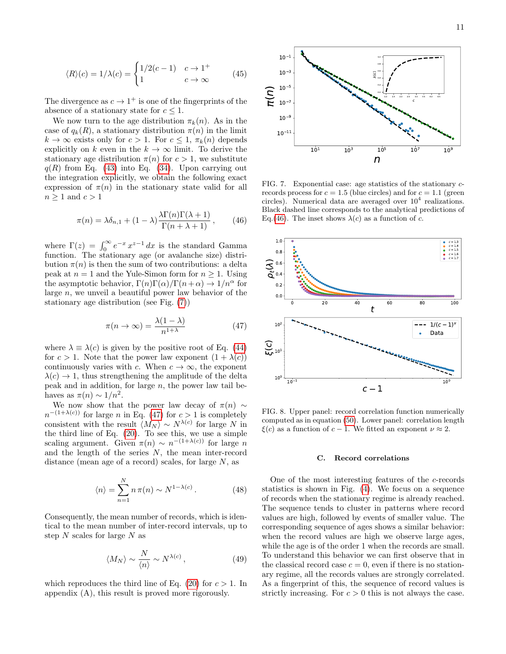$$
\langle R \rangle(c) = 1/\lambda(c) = \begin{cases} 1/2(c-1) & c \to 1^+ \\ 1 & c \to \infty \end{cases}
$$
 (45)

The divergence as  $c \to 1^+$  is one of the fingerprints of the absence of a stationary state for  $c \leq 1$ .

We now turn to the age distribution  $\pi_k(n)$ . As in the case of  $q_k(R)$ , a stationary distribution  $\pi(n)$  in the limit  $k \to \infty$  exists only for  $c > 1$ . For  $c \leq 1$ ,  $\pi_k(n)$  depends explicitly on k even in the  $k \to \infty$  limit. To derive the stationary age distribution  $\pi(n)$  for  $c > 1$ , we substitute  $q(R)$  from Eq. [\(43\)](#page-9-5) into Eq. [\(34\)](#page-8-6). Upon carrying out the integration explicitly, we obtain the following exact expression of  $\pi(n)$  in the stationary state valid for all  $n \geq 1$  and  $c > 1$ 

<span id="page-10-3"></span>
$$
\pi(n) = \lambda \delta_{n,1} + (1 - \lambda) \frac{\lambda \Gamma(n) \Gamma(\lambda + 1)}{\Gamma(n + \lambda + 1)}, \qquad (46)
$$

where  $\Gamma(z) = \int_0^\infty e^{-x} x^{z-1} dx$  is the standard Gamma function. The stationary age (or avalanche size) distribution  $\pi(n)$  is then the sum of two contributions: a delta peak at  $n = 1$  and the Yule-Simon form for  $n \geq 1$ . Using the asymptotic behavior,  $\Gamma(n)\Gamma(\alpha)/\Gamma(n+\alpha) \rightarrow 1/n^{\alpha}$  for large  $n$ , we unveil a beautiful power law behavior of the stationary age distribution (see Fig. [\(7\)](#page-10-1))

<span id="page-10-2"></span>
$$
\pi(n \to \infty) = \frac{\lambda(1 - \lambda)}{n^{1 + \lambda}} \tag{47}
$$

where  $\lambda \equiv \lambda(c)$  is given by the positive root of Eq. [\(44\)](#page-9-6) for  $c > 1$ . Note that the power law exponent  $(1 + \lambda(c))$ continuously varies with c. When  $c \to \infty$ , the exponent  $\lambda(c) \rightarrow 1$ , thus strengthening the amplitude of the delta peak and in addition, for large  $n$ , the power law tail behaves as  $\pi(n) \sim 1/n^2$ .

We now show that the power law decay of  $\pi(n) \sim$  $n^{-(1+\lambda(c))}$  for large n in Eq. [\(47\)](#page-10-2) for  $c > 1$  is completely consistent with the result  $\langle M_N \rangle \sim N^{\lambda(c)}$  for large N in the third line of Eq. [\(20\)](#page-5-1). To see this, we use a simple scaling argument. Given  $\pi(n) \sim n^{-(1+\lambda(c))}$  for large n and the length of the series  $N$ , the mean inter-record distance (mean age of a record) scales, for large  $N$ , as

$$
\langle n \rangle = \sum_{n=1}^{N} n \pi(n) \sim N^{1 - \lambda(c)}.
$$
 (48)

Consequently, the mean number of records, which is identical to the mean number of inter-record intervals, up to step  $N$  scales for large  $N$  as

$$
\langle M_N \rangle \sim \frac{N}{\langle n \rangle} \sim N^{\lambda(c)}\,,\tag{49}
$$

which reproduces the third line of Eq. [\(20\)](#page-5-1) for  $c > 1$ . In appendix (A), this result is proved more rigorously.



<span id="page-10-1"></span>FIG. 7. Exponential case: age statistics of the stationary crecords process for  $c = 1.5$  (blue circles) and for  $c = 1.1$  (green circles). Numerical data are averaged over  $10^4$  realizations. Black dashed line corresponds to the analytical predictions of Eq.[\(46\)](#page-10-3). The inset shows  $\lambda(c)$  as a function of c.



<span id="page-10-0"></span>FIG. 8. Upper panel: record correlation function numerically computed as in equation [\(50\)](#page-11-1). Lower panel: correlation length  $\xi(c)$  as a function of  $c - 1$ . We fitted an exponent  $\nu \approx 2$ .

### C. Record correlations

One of the most interesting features of the c-records statistics is shown in Fig. [\(4\)](#page-6-3). We focus on a sequence of records when the stationary regime is already reached. The sequence tends to cluster in patterns where record values are high, followed by events of smaller value. The corresponding sequence of ages shows a similar behavior: when the record values are high we observe large ages, while the age is of the order 1 when the records are small. To understand this behavior we can first observe that in the classical record case  $c = 0$ , even if there is no stationary regime, all the records values are strongly correlated. As a fingerprint of this, the sequence of record values is strictly increasing. For  $c > 0$  this is not always the case.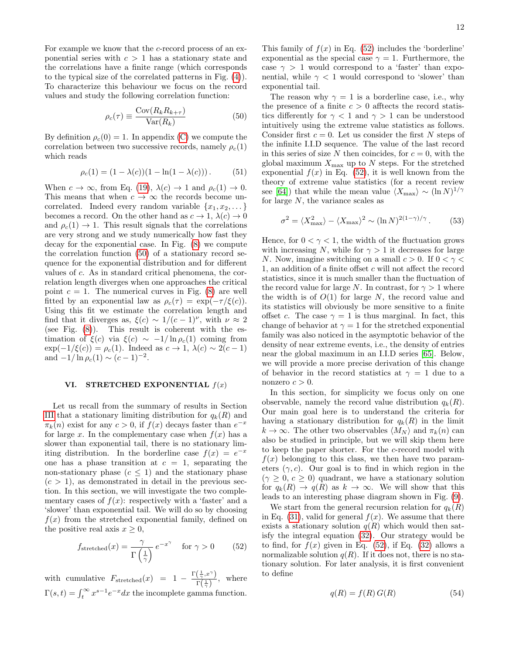For example we know that the c-record process of an exponential series with  $c > 1$  has a stationary state and the correlations have a finite range (which corresponds to the typical size of the correlated patterns in Fig. [\(4\)](#page-6-3)). To characterize this behaviour we focus on the record values and study the following correlation function:

<span id="page-11-1"></span>
$$
\rho_c(\tau) \equiv \frac{\text{Cov}(R_k R_{k+\tau})}{\text{Var}(R_k)}\tag{50}
$$

By definition  $\rho_c(0) = 1$ . In appendix [\(C\)](#page-22-1) we compute the correlation between two successive records, namely  $\rho_c(1)$ which reads

$$
\rho_c(1) = (1 - \lambda(c))(1 - \ln(1 - \lambda(c))).
$$
 (51)

When  $c \to \infty$ , from Eq. [\(19\)](#page-5-0),  $\lambda(c) \to 1$  and  $\rho_c(1) \to 0$ . This means that when  $c \to \infty$  the records become uncorrelated. Indeed every random variable  $\{x_1, x_2, \ldots\}$ becomes a record. On the other hand as  $c \to 1$ ,  $\lambda(c) \to 0$ and  $\rho_c(1) \rightarrow 1$ . This result signals that the correlations are very strong and we study numerically how fast they decay for the exponential case. In Fig. [\(8\)](#page-10-0) we compute the correlation function [\(50\)](#page-11-1) of a stationary record sequence for the exponential distribution and for different values of c. As in standard critical phenomena, the correlation length diverges when one approaches the critical point  $c = 1$ . The numerical curves in Fig. [\(8\)](#page-10-0) are well fitted by an exponential law as  $\rho_c(\tau) = \exp(-\tau/\xi(c)).$ Using this fit we estimate the correlation length and find that it diverges as,  $\xi(c) \sim 1/(c-1)^{\nu}$ , with  $\nu \approx 2$ (see Fig.  $(8)$ ). This result is coherent with the estimation of  $\xi(c)$  via  $\xi(c) \sim -1/\ln \rho_c(1)$  coming from  $\exp(-1/\xi(c)) = \rho_c(1)$ . Indeed as  $c \to 1$ ,  $\lambda(c) \sim 2(c-1)$ and  $-1/\ln \rho_c(1) \sim (c-1)^{-2}$ .

### <span id="page-11-0"></span>VI. STRETCHED EXPONENTIAL  $f(x)$

Let us recall from the summary of results in Section [III](#page-4-0) that a stationary limiting distribution for  $q_k(R)$  and  $\pi_k(n)$  exist for any  $c > 0$ , if  $f(x)$  decays faster than  $e^{-x}$ for large x. In the complementary case when  $f(x)$  has a slower than exponential tail, there is no stationary limiting distribution. In the borderline case  $f(x) = e^{-x}$ one has a phase transition at  $c = 1$ , separating the non-stationary phase  $(c \leq 1)$  and the stationary phase  $(c > 1)$ , as demonstrated in detail in the previous section. In this section, we will investigate the two complementary cases of  $f(x)$ : respectively with a 'faster' and a 'slower' than exponential tail. We will do so by choosing  $f(x)$  from the stretched exponential family, defined on the positive real axis  $x \geq 0$ ,

<span id="page-11-2"></span>
$$
f_{\text{stretched}}(x) = \frac{\gamma}{\Gamma\left(\frac{1}{\gamma}\right)} e^{-x^{\gamma}} \quad \text{for } \gamma > 0 \tag{52}
$$

with cumulative  $F_{\text{stretched}}(x) = 1 - \frac{\Gamma(\frac{1}{\gamma}, x^{\gamma})}{\Gamma(1)}$  $\frac{\sqrt{\gamma^{12}}}{\Gamma(\frac{1}{\gamma})}$ , where  $\Gamma(s,t) = \int_t^{\infty} x^{s-1} e^{-x} dx$  the incomplete gamma function.

This family of  $f(x)$  in Eq. [\(52\)](#page-11-2) includes the 'borderline' exponential as the special case  $\gamma = 1$ . Furthermore, the case  $\gamma > 1$  would correspond to a 'faster' than exponential, while  $\gamma$  < 1 would correspond to 'slower' than exponential tail.

The reason why  $\gamma = 1$  is a borderline case, i.e., why the presence of a finite  $c > 0$  afftects the record statistics differently for  $\gamma$  < 1 and  $\gamma$  > 1 can be understood intuitively using the extreme value statistics as follows. Consider first  $c = 0$ . Let us consider the first N steps of the infinite I.I.D sequence. The value of the last record in this series of size N then coincides, for  $c = 0$ , with the global maximum  $X_{\text{max}}$  up to N steps. For the stretched exponential  $f(x)$  in Eq. [\(52\)](#page-11-2), it is well known from the theory of extreme value statistics (for a recent review see [\[64\]](#page-19-12)) that while the mean value  $\langle X_{\text{max}} \rangle \sim (\ln N)^{1/\gamma}$ for large  $N$ , the variance scales as

$$
\sigma^2 = \langle X_{\text{max}}^2 \rangle - \langle X_{\text{max}} \rangle^2 \sim (\ln N)^{2(1-\gamma)/\gamma}.
$$
 (53)

Hence, for  $0 < \gamma < 1$ , the width of the fluctuation grows with increasing N, while for  $\gamma > 1$  it decreases for large N. Now, imagine switching on a small  $c > 0$ . If  $0 < \gamma <$ 1, an addition of a finite offset c will not affect the record statistics, since it is much smaller than the fluctuation of the record value for large N. In contrast, for  $\gamma > 1$  where the width is of  $O(1)$  for large N, the record value and its statistics will obviously be more sensitive to a finite offset c. The case  $\gamma = 1$  is thus marginal. In fact, this change of behavior at  $\gamma = 1$  for the stretched exponential family was also noticed in the asymptotic behavior of the density of near extreme events, i.e., the density of entries near the global maximum in an I.I.D series [\[65\]](#page-19-13). Below, we will provide a more precise derivation of this change of behavior in the record statistics at  $\gamma = 1$  due to a nonzero  $c > 0$ .

In this section, for simplicity we focus only on one observable, namely the record value distribution  $q_k(R)$ . Our main goal here is to understand the criteria for having a stationary distribution for  $q_k(R)$  in the limit  $k \to \infty$ . The other two observables  $\langle M_N \rangle$  and  $\pi_k(n)$  can also be studied in principle, but we will skip them here to keep the paper shorter. For the c-record model with  $f(x)$  belonging to this class, we then have two parameters  $(\gamma, c)$ . Our goal is to find in which region in the  $(\gamma \geq 0, c \geq 0)$  quadrant, we have a stationary solution for  $q_k(R) \to q(R)$  as  $k \to \infty$ . We will show that this leads to an interesting phase diagram shown in Fig. [\(9\)](#page-12-0).

We start from the general recursion relation for  $q_k(R)$ in Eq. [\(31\)](#page-8-4), valid for general  $f(x)$ . We assume that there exists a stationary solution  $q(R)$  which would then satisfy the integral equation [\(32\)](#page-8-5). Our strategy would be to find, for  $f(x)$  given in Eq. [\(52\)](#page-11-2), if Eq. [\(32\)](#page-8-5) allows a normalizable solution  $q(R)$ . If it does not, there is no stationary solution. For later analysis, it is first convenient to define

<span id="page-11-3"></span>
$$
q(R) = f(R) G(R)
$$
\n<sup>(54)</sup>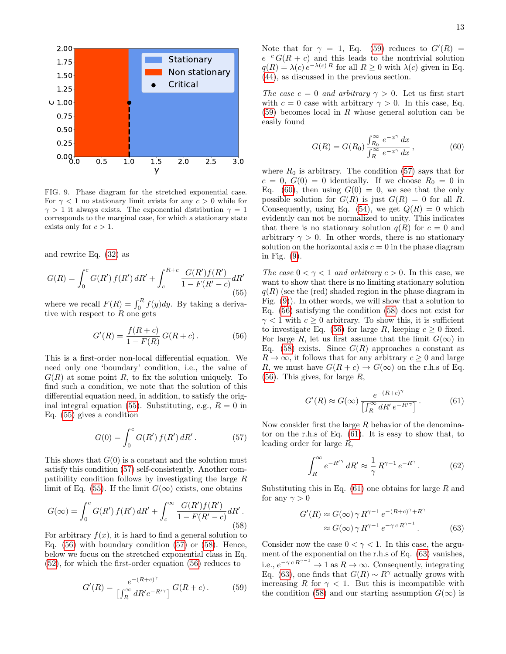

<span id="page-12-0"></span>FIG. 9. Phase diagram for the stretched exponential case. For  $\gamma$  < 1 no stationary limit exists for any  $c > 0$  while for  $\gamma > 1$  it always exists. The exponential distribution  $\gamma = 1$ corresponds to the marginal case, for which a stationary state exists only for  $c > 1$ .

and rewrite Eq. [\(32\)](#page-8-5) as

<span id="page-12-1"></span>
$$
G(R) = \int_0^c G(R') f(R') dR' + \int_c^{R+c} \frac{G(R')f(R')}{1 - F(R' - c)} dR'
$$
\n(55)

where we recall  $F(R) = \int_0^R f(y) dy$ . By taking a derivative with respect to  $R$  one gets

<span id="page-12-3"></span>
$$
G'(R) = \frac{f(R+c)}{1 - F(R)} G(R+c).
$$
 (56)

This is a first-order non-local differential equation. We need only one 'boundary' condition, i.e., the value of  $G(R)$  at some point R, to fix the solution uniquely. To find such a condition, we note that the solution of this differential equation need, in addition, to satisfy the orig-inal integral equation [\(55\)](#page-12-1). Substituting, e.g.,  $R = 0$  in Eq. [\(55\)](#page-12-1) gives a condition

<span id="page-12-2"></span>
$$
G(0) = \int_0^c G(R') f(R') dR'.
$$
 (57)

This shows that  $G(0)$  is a constant and the solution must satisfy this condition [\(57\)](#page-12-2) self-consistently. Another compatibility condition follows by investigating the large R limit of Eq. [\(55\)](#page-12-1). If the limit  $G(\infty)$  exists, one obtains

<span id="page-12-4"></span>
$$
G(\infty) = \int_0^c G(R') f(R') dR' + \int_c^{\infty} \frac{G(R')f(R')}{1 - F(R' - c)} dR'.
$$
\n(58)

For arbitrary  $f(x)$ , it is hard to find a general solution to Eq.  $(56)$  with boundary condition  $(57)$  or  $(58)$ . Hence, below we focus on the stretched exponential class in Eq. [\(52\)](#page-11-2), for which the first-order equation [\(56\)](#page-12-3) reduces to

<span id="page-12-5"></span>
$$
G'(R) = \frac{e^{-(R+c)^{\gamma}}}{\left[\int_{R}^{\infty} dR'e^{-R'\gamma}\right]} G(R+c). \tag{59}
$$

Note that for  $\gamma = 1$ , Eq. [\(59\)](#page-12-5) reduces to  $G'(R) =$  $e^{-c} G(R + c)$  and this leads to the nontrivial solution  $q(R) = \lambda(c) e^{-\lambda(c) R}$  for all  $R \ge 0$  with  $\lambda(c)$  given in Eq. [\(44\)](#page-9-6), as discussed in the previous section.

The case  $c = 0$  and arbitrary  $\gamma > 0$ . Let us first start with  $c = 0$  case with arbitrary  $\gamma > 0$ . In this case, Eq.  $(59)$  becomes local in R whose general solution can be easily found

<span id="page-12-6"></span>
$$
G(R) = G(R_0) \frac{\int_{R_0}^{\infty} e^{-x^{\gamma}} dx}{\int_{R}^{\infty} e^{-x^{\gamma}} dx},
$$
 (60)

where  $R_0$  is arbitrary. The condition [\(57\)](#page-12-2) says that for  $c = 0, G(0) = 0$  identically. If we choose  $R_0 = 0$  in Eq. [\(60\)](#page-12-6), then using  $G(0) = 0$ , we see that the only possible solution for  $G(R)$  is just  $G(R) = 0$  for all R. Consequently, using Eq. [\(54\)](#page-11-3), we get  $Q(R) = 0$  which evidently can not be normalized to unity. This indicates that there is no stationary solution  $q(R)$  for  $c = 0$  and arbitrary  $\gamma > 0$ . In other words, there is no stationary solution on the horizontal axis  $c = 0$  in the phase diagram in Fig. [\(9\)](#page-12-0).

The case  $0 < \gamma < 1$  and arbitrary  $c > 0$ . In this case, we want to show that there is no limiting stationary solution  $q(R)$  (see the (red) shaded region in the phase diagram in Fig. [\(9\)](#page-12-0)). In other words, we will show that a solution to Eq. [\(56\)](#page-12-3) satisfying the condition [\(58\)](#page-12-4) does not exist for  $\gamma$  < 1 with  $c > 0$  arbitrary. To show this, it is sufficient to investigate Eq. [\(56\)](#page-12-3) for large R, keeping  $c \geq 0$  fixed. For large R, let us first assume that the limit  $G(\infty)$  in Eq. [\(58\)](#page-12-4) exists. Since  $G(R)$  approaches a constant as  $R \to \infty$ , it follows that for any arbitrary  $c \geq 0$  and large R, we must have  $G(R + c) \rightarrow G(\infty)$  on the r.h.s of Eq.  $(56)$ . This gives, for large R,

<span id="page-12-7"></span>
$$
G'(R) \approx G(\infty) \frac{e^{-(R+c)^{\gamma}}}{\left[\int_{R}^{\infty} dR' e^{-R'\gamma}\right]}.
$$
 (61)

Now consider first the large  $R$  behavior of the denominator on the r.h.s of Eq. [\(61\)](#page-12-7). It is easy to show that, to leading order for large R,

$$
\int_{R}^{\infty} e^{-R^{\prime\gamma}} dR^{\prime} \approx \frac{1}{\gamma} R^{\gamma - 1} e^{-R^{\gamma}}.
$$
 (62)

Substituting this in Eq.  $(61)$  one obtains for large R and for any  $\gamma > 0$ 

<span id="page-12-8"></span>
$$
G'(R) \approx G(\infty) \gamma R^{\gamma - 1} e^{-(R+c)^{\gamma} + R^{\gamma}}
$$

$$
\approx G(\infty) \gamma R^{\gamma - 1} e^{-\gamma c R^{\gamma - 1}}.
$$
(63)

Consider now the case  $0 < \gamma < 1$ . In this case, the argument of the exponential on the r.h.s of Eq. [\(63\)](#page-12-8) vanishes, i.e.,  $e^{-\gamma c R^{\gamma-1}} \to 1$  as  $R \to \infty$ . Consequently, integrating Eq. [\(63\)](#page-12-8), one finds that  $G(R) \sim R^{\gamma}$  actually grows with increasing R for  $\gamma$  < 1. But this is incompatible with the condition [\(58\)](#page-12-4) and our starting assumption  $G(\infty)$  is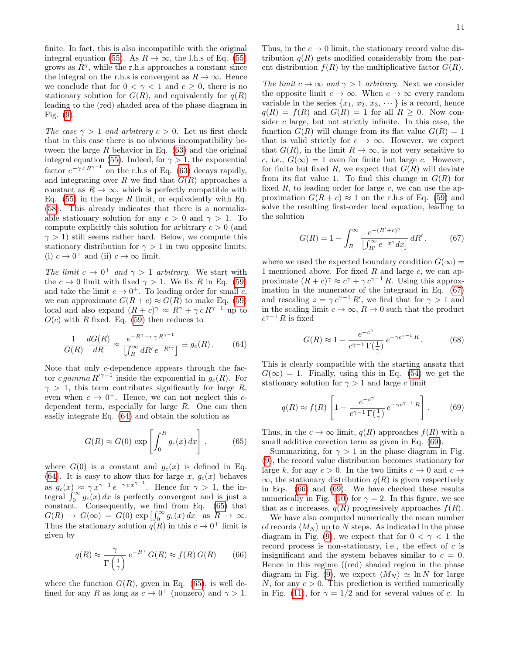finite. In fact, this is also incompatible with the original integral equation [\(55\)](#page-12-1). As  $R \to \infty$ , the l.h.s of Eq. (55) grows as  $R^{\gamma}$ , while the r.h.s approaches a constant since the integral on the r.h.s is convergent as  $R \to \infty$ . Hence we conclude that for  $0 < \gamma < 1$  and  $c \ge 0$ , there is no stationary solution for  $G(R)$ , and equivalently for  $q(R)$ leading to the (red) shaded area of the phase diagram in Fig. [\(9\)](#page-12-0).

The case  $\gamma > 1$  and arbitrary  $c > 0$ . Let us first check that in this case there is no obvious incompatibility between the large  $R$  behavior in Eq. [\(63\)](#page-12-8) and the original integral equation [\(55\)](#page-12-1). Indeed, for  $\gamma > 1$ , the exponential factor  $e^{-\gamma c R^{\gamma-1}}$  on the r.h.s of Eq. [\(63\)](#page-12-8) decays rapidly, and integrating over R we find that  $G(R)$  approaches a constant as  $R \to \infty$ , which is perfectly compatible with Eq.  $(55)$  in the large R limit, or equivalently with Eq. [\(58\)](#page-12-4). This already indicates that there is a normalizable stationary solution for any  $c > 0$  and  $\gamma > 1$ . To compute explicitly this solution for arbitrary  $c > 0$  (and  $\gamma > 1$ ) still seems rather hard. Below, we compute this stationary distribution for  $\gamma > 1$  in two opposite limits: (i)  $c \to 0^+$  and (ii)  $c \to \infty$  limit.

The limit  $c \to 0^+$  and  $\gamma > 1$  arbitrary. We start with the  $c \to 0$  limit with fixed  $\gamma > 1$ . We fix R in Eq. [\(59\)](#page-12-5) and take the limit  $c \to 0^+$ . To leading order for small c, we can approximate  $G(R + c) \approx G(R)$  to make Eq. [\(59\)](#page-12-5) local and also expand  $(R + c)^{\gamma} \approx R^{\gamma} + \gamma c R^{\gamma-1}$  up to  $O(c)$  with R fixed. Eq. [\(59\)](#page-12-5) then reduces to

<span id="page-13-0"></span>
$$
\frac{1}{G(R)} \frac{dG(R)}{dR} \approx \frac{e^{-R^{\gamma} - c\gamma R^{\gamma - 1}}}{\left[\int_{R}^{\infty} dR' e^{-R'\gamma}\right]} \equiv g_c(R). \tag{64}
$$

Note that only c-dependence appears through the factor c gamma  $R^{\prime\gamma-1}$  inside the exponential in  $g_c(R)$ . For  $\gamma > 1$ , this term contributes significantly for large R, even when  $c \to 0^+$ . Hence, we can not neglect this cdependent term, especially for large R. One can then easily integrate Eq. [\(64\)](#page-13-0) and obtain the solution as

<span id="page-13-1"></span>
$$
G(R) \approx G(0) \exp\left[\int_0^R g_c(x) dx\right],\qquad (65)
$$

where  $G(0)$  is a constant and  $g_c(x)$  is defined in Eq. [\(64\)](#page-13-0). It is easy to show that for large x,  $g_c(x)$  behaves as  $g_c(x) \approx \gamma x^{\gamma-1} e^{-\gamma c x^{\gamma-1}}$ . Hence for  $\gamma > 1$ , the integral  $\int_0^\infty g_c(x) dx$  is perfectly convergent and is just a constant. Consequently, we find from Eq. [\(65\)](#page-13-1) that  $G(R) \rightarrow G(\infty) = G(0) \exp \left[\int_0^\infty g_c(x) dx\right]$  as  $R \rightarrow \infty$ . Thus the stationary solution  $q(R)$  in this  $c \to 0^+$  limit is given by

<span id="page-13-4"></span>
$$
q(R) \approx \frac{\gamma}{\Gamma\left(\frac{1}{\gamma}\right)} e^{-R^{\gamma}} G(R) \approx f(R) G(R) \qquad (66)
$$

where the function  $G(R)$ , given in Eq. [\(65\)](#page-13-1), is well defined for any R as long as  $c \to 0^+$  (nonzero) and  $\gamma > 1$ . Thus, in the  $c \to 0$  limit, the stationary record value distribution  $q(R)$  gets modified considerably from the parent distribution  $f(R)$  by the multiplicative factor  $G(R)$ .

The limit  $c \to \infty$  and  $\gamma > 1$  arbitrary. Next we consider the opposite limit  $c \to \infty$ . When  $c \to \infty$  every random variable in the series  $\{x_1, x_2, x_3, \dots\}$  is a record, hence  $q(R) = f(R)$  and  $G(R) = 1$  for all  $R \geq 0$ . Now consider c large, but not strictly infinite. In this case, the function  $G(R)$  will change from its flat value  $G(R) = 1$ that is valid strictly for  $c \to \infty$ . However, we expect that  $G(R)$ , in the limit  $R \to \infty$ , is not very sensitive to c, i.e.,  $G(\infty) = 1$  even for finite but large c. However, for finite but fixed R, we expect that  $G(R)$  will deviate from its flat value 1. To find this change in  $G(R)$  for fixed  $R$ , to leading order for large  $c$ , we can use the approximation  $G(R + c) \approx 1$  on the r.h.s of Eq. [\(59\)](#page-12-5) and solve the resulting first-order local equation, leading to the solution

<span id="page-13-2"></span>
$$
G(R) = 1 - \int_{R}^{\infty} \frac{e^{-(R'+c)^{\gamma}}}{\left[\int_{R'}^{\infty} e^{-x^{\gamma}} dx\right]} dR', \qquad (67)
$$

where we used the expected boundary condition  $G(\infty)$  = 1 mentioned above. For fixed  $R$  and large  $c$ , we can approximate  $(R + c)^\gamma \approx c^\gamma + \gamma c^{\gamma - 1} R$ . Using this approximation in the numerator of the integrand in Eq. [\(67\)](#page-13-2) and rescaling  $z = \gamma c^{\gamma - 1} R'$ , we find that for  $\gamma > 1$  and in the scaling limit  $c \to \infty$ ,  $R \to 0$  such that the product  $c^{\gamma-1} R$  is fixed

$$
G(R) \approx 1 - \frac{e^{-c^{\gamma}}}{c^{\gamma - 1} \Gamma(\frac{1}{\gamma})} e^{-\gamma c^{\gamma - 1} R}.
$$
 (68)

This is clearly compatible with the starting ansatz that  $G(\infty) = 1$ . Finally, using this in Eq. [\(54\)](#page-11-3) we get the stationary solution for  $\gamma > 1$  and large c limit

<span id="page-13-3"></span>
$$
q(R) \approx f(R) \left[ 1 - \frac{e^{-c^{\gamma}}}{c^{\gamma - 1} \Gamma(\frac{1}{\gamma})} e^{-\gamma c^{\gamma - 1} R} \right].
$$
 (69)

Thus, in the  $c \to \infty$  limit,  $q(R)$  approaches  $f(R)$  with a small additive corection term as given in Eq. [\(69\)](#page-13-3).

Summarizing, for  $\gamma > 1$  in the phase diagram in Fig. [\(9\)](#page-12-0), the record value distribution becomes stationary for large k, for any  $c > 0$ . In the two limits  $c \to 0$  and  $c \to$  $\infty$ , the stationary distribution  $q(R)$  is given respectively in Eqs. [\(66\)](#page-13-4) and [\(69\)](#page-13-3). We have checked these results numerically in Fig. [\(10\)](#page-14-1) for  $\gamma = 2$ . In this figure, we see that as c increases,  $q(R)$  progressively approaches  $f(R)$ .

We have also computed numerically the mean number of records  $\langle M_N \rangle$  up to N steps. As indicated in the phase diagram in Fig. [\(9\)](#page-12-0), we expect that for  $0 < \gamma < 1$  the record process is non-stationary, i.e., the effect of  $c$  is insignificant and the system behaves similar to  $c = 0$ . Hence in this regime ((red) shaded region in the phase diagram in Fig. [\(9\)](#page-12-0), we expect  $\langle M_N \rangle \simeq \ln N$  for large N, for any  $c > 0$ . This prediction is verified numerically in Fig. [\(11\)](#page-14-2), for  $\gamma = 1/2$  and for several values of c. In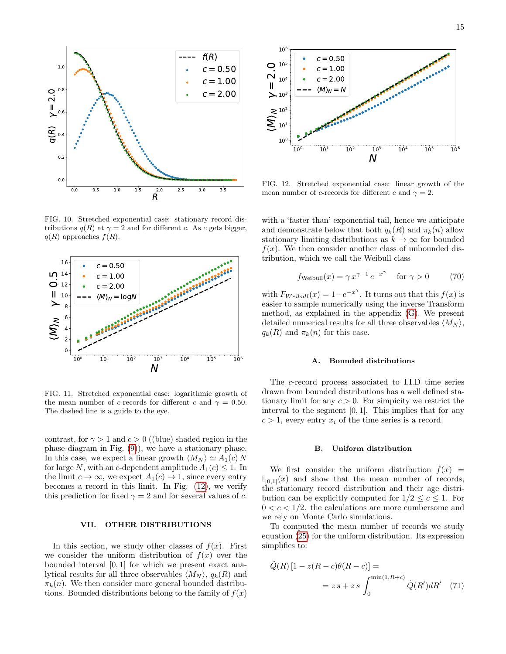

<span id="page-14-1"></span>FIG. 10. Stretched exponential case: stationary record distributions  $q(R)$  at  $\gamma = 2$  and for different c. As c gets bigger,  $q(R)$  approaches  $f(R)$ .



<span id="page-14-2"></span>FIG. 11. Stretched exponential case: logarithmic growth of the mean number of c-records for different c and  $\gamma = 0.50$ . The dashed line is a guide to the eye.

contrast, for  $\gamma > 1$  and  $c > 0$  ((blue) shaded region in the phase diagram in Fig. [\(9\)](#page-12-0)), we have a stationary phase. In this case, we expect a linear growth  $\langle M_N \rangle \simeq A_1(c) N$ for large N, with an c-dependent amplitude  $A_1(c) \leq 1$ . In the limit  $c \to \infty$ , we expect  $A_1(c) \to 1$ , since every entry becomes a record in this limit. In Fig. [\(12\)](#page-14-3), we verify this prediction for fixed  $\gamma = 2$  and for several values of c.

# <span id="page-14-0"></span>VII. OTHER DISTRIBUTIONS

In this section, we study other classes of  $f(x)$ . First we consider the uniform distribution of  $f(x)$  over the bounded interval [0, 1] for which we present exact analytical results for all three observables  $\langle M_N \rangle$ ,  $q_k(R)$  and  $\pi_k(n)$ . We then consider more general bounded distributions. Bounded distributions belong to the family of  $f(x)$ 



<span id="page-14-3"></span>FIG. 12. Stretched exponential case: linear growth of the mean number of c-records for different c and  $\gamma = 2$ .

with a 'faster than' exponential tail, hence we anticipate and demonstrate below that both  $q_k(R)$  and  $\pi_k(n)$  allow stationary limiting distributions as  $k \to \infty$  for bounded  $f(x)$ . We then consider another class of unbounded distribution, which we call the Weibull class

$$
f_{\text{Weibull}}(x) = \gamma x^{\gamma - 1} e^{-x^{\gamma}} \quad \text{for } \gamma > 0 \tag{70}
$$

with  $F_{Weibull}(x) = 1 - e^{-x^{\gamma}}$ . It turns out that this  $f(x)$  is easier to sample numerically using the inverse Transform method, as explained in the appendix [\(G\)](#page-24-0). We present detailed numerical results for all three observables  $\langle M_N \rangle$ ,  $q_k(R)$  and  $\pi_k(n)$  for this case.

### A. Bounded distributions

The c-record process associated to I.I.D time series drawn from bounded distributions has a well defined stationary limit for any  $c > 0$ . For simplicity we restrict the interval to the segment  $[0, 1]$ . This implies that for any  $c > 1$ , every entry  $x_i$  of the time series is a record.

#### B. Uniform distribution

We first consider the uniform distribution  $f(x) =$  $\mathbb{I}_{[0,1]}(x)$  and show that the mean number of records, the stationary record distribution and their age distribution can be explicitly computed for  $1/2 \leq c \leq 1$ . For  $0 < c < 1/2$ , the calculations are more cumbersome and we rely on Monte Carlo simulations.

To computed the mean number of records we study equation [\(25\)](#page-7-4) for the uniform distribution. Its expression simplifies to:

$$
\tilde{Q}(R) \left[1 - z(R - c)\theta(R - c)\right] =
$$
  
=  $z s + z s \int_0^{\min(1, R + c)} \tilde{Q}(R') dR'$  (71)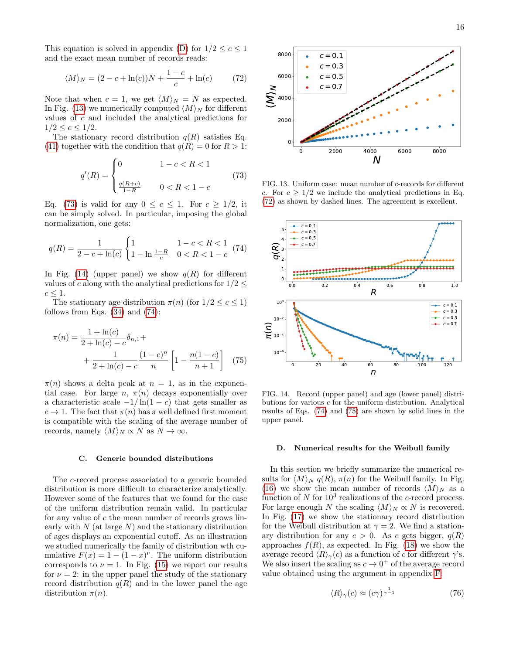This equation is solved in appendix [\(D\)](#page-23-0) for  $1/2 \leq c \leq 1$ and the exact mean number of records reads:

<span id="page-15-0"></span>
$$
\langle M \rangle_N = (2 - c + \ln(c))N + \frac{1 - c}{c} + \ln(c) \tag{72}
$$

Note that when  $c = 1$ , we get  $\langle M \rangle_N = N$  as expected. In Fig. [\(13\)](#page-15-1) we numerically computed  $\langle M \rangle_N$  for different values of c and included the analytical predictions for  $1/2 \leq c \leq 1/2$ .

The stationary record distribution  $q(R)$  satisfies Eq. [\(41\)](#page-9-4) together with the condition that  $q(R) = 0$  for  $R > 1$ :

<span id="page-15-2"></span>
$$
q'(R) = \begin{cases} 0 & 1 - c < R < 1 \\ \frac{q(R+c)}{1-R} & 0 < R < 1 - c \end{cases} \tag{73}
$$

Eq. [\(73\)](#page-15-2) is valid for any  $0 \leq c \leq 1$ . For  $c \geq 1/2$ , it can be simply solved. In particular, imposing the global normalization, one gets:

<span id="page-15-4"></span>
$$
q(R) = \frac{1}{2 - c + \ln(c)} \begin{cases} 1 & 1 - c < R < 1 \\ 1 - \ln\frac{1 - R}{c} & 0 < R < 1 - c \end{cases} \tag{74}
$$

In Fig. [\(14\)](#page-15-3) (upper panel) we show  $q(R)$  for different values of c along with the analytical predictions for  $1/2 <$  $c \leq 1$ .

The stationary age distribution  $\pi(n)$  (for  $1/2 \leq c \leq 1$ ) follows from Eqs.  $(34)$  and  $(74)$ :

$$
\pi(n) = \frac{1 + \ln(c)}{2 + \ln(c) - c} \delta_{n,1} + \frac{1}{2 + \ln(c) - c} \frac{(1 - c)^n}{n} \left[ 1 - \frac{n(1 - c)}{n + 1} \right] \tag{75}
$$

 $\pi(n)$  shows a delta peak at  $n = 1$ , as in the exponential case. For large  $n, \pi(n)$  decays exponentially over a characteristic scale  $-1/\ln(1-c)$  that gets smaller as  $c \to 1$ . The fact that  $\pi(n)$  has a well defined first moment is compatible with the scaling of the average number of records, namely  $\langle M \rangle_N \propto N$  as  $N \to \infty$ .

#### C. Generic bounded distributions

The c-record process associated to a generic bounded distribution is more difficult to characterize analytically. However some of the features that we found for the case of the uniform distribution remain valid. In particular for any value of  $c$  the mean number of records grows linearly with  $N$  (at large  $N$ ) and the stationary distribution of ages displays an exponential cutoff. As an illustration we studied numerically the family of distribution wth cumulative  $F(x) = 1 - (1 - x)^{\nu}$ . The uniform distribution corresponds to  $\nu = 1$ . In Fig. [\(15\)](#page-16-1) we report our results for  $\nu = 2$ : in the upper panel the study of the stationary record distribution  $q(R)$  and in the lower panel the age distribution  $\pi(n)$ .



<span id="page-15-1"></span>FIG. 13. Uniform case: mean number of c-records for different c. For  $c \geq 1/2$  we include the analytical predictions in Eq. [\(72\)](#page-15-0) as shown by dashed lines. The agreement is excellent.



<span id="page-15-5"></span><span id="page-15-3"></span>FIG. 14. Record (upper panel) and age (lower panel) distributions for various c for the uniform distribution. Analytical results of Eqs. [\(74\)](#page-15-4) and [\(75\)](#page-15-5) are shown by solid lines in the upper panel.

#### D. Numerical results for the Weibull family

In this section we briefly summarize the numerical results for  $\langle M \rangle_N q(R)$ ,  $\pi(n)$  for the Weibull family. In Fig. [\(16\)](#page-16-2) we show the mean number of records  $\langle M \rangle_N$  as a function of  $N$  for  $10^3$  realizations of the c-record process. For large enough N the scaling  $\langle M \rangle_N \propto N$  is recovered. In Fig. [\(17\)](#page-16-3) we show the stationary record distribution for the Weibull distribution at  $\gamma = 2$ . We find a stationary distribution for any  $c > 0$ . As c gets bigger,  $q(R)$ approaches  $f(R)$ , as expected. In Fig. [\(18\)](#page-16-4) we show the average record  $\langle R \rangle_{\gamma}(c)$  as a function of c for different  $\gamma$ 's. We also insert the scaling as  $c \to 0^+$  of the average record value obtained using the argument in appendix [F:](#page-23-1)

<span id="page-15-6"></span>
$$
\langle R \rangle_{\gamma}(c) \approx (c\gamma)^{\frac{1}{\gamma - 1}} \tag{76}
$$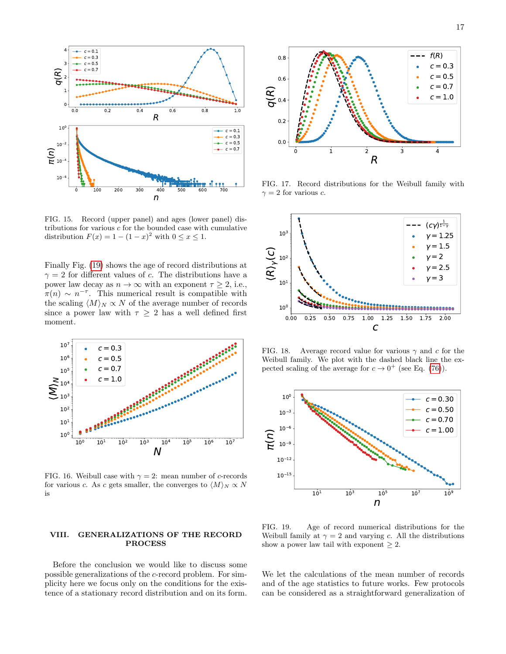

<span id="page-16-1"></span>FIG. 15. Record (upper panel) and ages (lower panel) distributions for various  $c$  for the bounded case with cumulative distribution  $F(x) = 1 - (1 - x)^2$  with  $0 \le x \le 1$ .

Finally Fig. [\(19\)](#page-16-5) shows the age of record distributions at  $\gamma = 2$  for different values of c. The distributions have a power law decay as  $n \to \infty$  with an exponent  $\tau \geq 2$ , i.e.,  $\pi(n) \sim n^{-\tau}$ . This numerical result is compatible with the scaling  $\langle M \rangle_N \propto N$  of the average number of records since a power law with  $\tau \geq 2$  has a well defined first moment.



<span id="page-16-2"></span>FIG. 16. Weibull case with  $\gamma = 2$ : mean number of c-records for various c. As c gets smaller, the converges to  $\langle M \rangle_N \propto N$ is

# <span id="page-16-0"></span>VIII. GENERALIZATIONS OF THE RECORD PROCESS

Before the conclusion we would like to discuss some possible generalizations of the c-record problem. For simplicity here we focus only on the conditions for the existence of a stationary record distribution and on its form.



<span id="page-16-3"></span>FIG. 17. Record distributions for the Weibull family with  $\gamma = 2$  for various c.



<span id="page-16-4"></span>FIG. 18. Average record value for various  $\gamma$  and c for the Weibull family. We plot with the dashed black line the expected scaling of the average for  $c \to 0^+$  (see Eq. [\(76\)](#page-15-6)).



<span id="page-16-5"></span>FIG. 19. Age of record numerical distributions for the Weibull family at  $\gamma = 2$  and varying c. All the distributions show a power law tail with exponent  $\geq 2$ .

We let the calculations of the mean number of records and of the age statistics to future works. Few protocols can be considered as a straightforward generalization of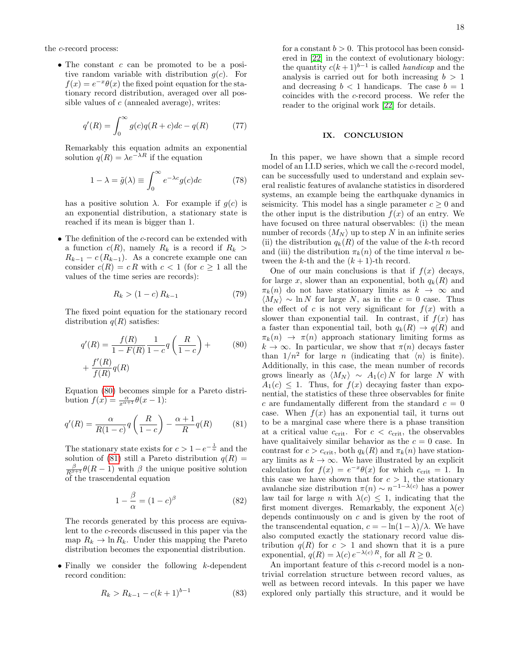the c-record process:

• The constant  $c$  can be promoted to be a positive random variable with distribution  $q(c)$ . For  $f(x) = e^{-x}\theta(x)$  the fixed point equation for the stationary record distribution, averaged over all possible values of  $c$  (annealed average), writes:

$$
q'(R) = \int_0^\infty g(c)q(R+c)dc - q(R)
$$
 (77)

Remarkably this equation admits an exponential solution  $q(R) = \lambda e^{-\lambda R}$  if the equation

$$
1 - \lambda = \tilde{g}(\lambda) \equiv \int_0^\infty e^{-\lambda c} g(c) dc \tag{78}
$$

has a positive solution  $\lambda$ . For example if  $g(c)$  is an exponential distribution, a stationary state is reached if its mean is bigger than 1.

• The definition of the c-record can be extended with a function  $c(R)$ , namely  $R_k$  is a record if  $R_k >$  $R_{k-1} - c(R_{k-1})$ . As a concrete example one can consider  $c(R) = c R$  with  $c < 1$  (for  $c \ge 1$  all the values of the time series are records):

$$
R_k > (1 - c) R_{k-1}
$$
 (79)

The fixed point equation for the stationary record distribution  $q(R)$  satisfies:

$$
q'(R) = \frac{f(R)}{1 - F(R)} \frac{1}{1 - c} q\left(\frac{R}{1 - c}\right) +
$$
  
+ 
$$
\frac{f'(R)}{f(R)} q(R)
$$
 (80)

Equation [\(80\)](#page-17-1) becomes simple for a Pareto distribution  $f(x) = \frac{\alpha}{x^{\alpha+1}} \theta(x-1)$ :

<span id="page-17-2"></span>
$$
q'(R) = \frac{\alpha}{R(1-c)} q\left(\frac{R}{1-c}\right) - \frac{\alpha+1}{R}q(R) \tag{81}
$$

The stationary state exists for  $c > 1 - e^{-\frac{1}{\alpha}}$  and the solution of [\(81\)](#page-17-2) still a Pareto distribution  $q(R)$  =  $\frac{\beta}{R^{\beta+1}}\theta(R-1)$  with  $\beta$  the unique positive solution of the trascendental equation

$$
1 - \frac{\beta}{\alpha} = (1 - c)^{\beta} \tag{82}
$$

The records generated by this process are equivalent to the c-records discussed in this paper via the map  $R_k \to \ln R_k$ . Under this mapping the Pareto distribution becomes the exponential distribution.

• Finally we consider the following  $k$ -dependent record condition:

$$
R_k > R_{k-1} - c(k+1)^{b-1}
$$
 (83)

for a constant  $b > 0$ . This protocol has been considered in [\[22\]](#page-18-7) in the context of evolutionary biology: the quantity  $c(k+1)^{b-1}$  is called *handicap* and the analysis is carried out for both increasing  $b > 1$ and decreasing  $b < 1$  handicaps. The case  $b = 1$ coincides with the c-record process. We refer the reader to the original work [\[22\]](#page-18-7) for details.

## <span id="page-17-0"></span>IX. CONCLUSION

In this paper, we have shown that a simple record model of an I.I.D series, which we call the c-record model, can be successfully used to understand and explain several realistic features of avalanche statistics in disordered systems, an example being the earthquake dynamics in seismicity. This model has a single parameter  $c \geq 0$  and the other input is the distribution  $f(x)$  of an entry. We have focused on three natural observables: (i) the mean number of records  $\langle M_N \rangle$  up to step N in an infinite series (ii) the distribution  $q_k(R)$  of the value of the k-th record and (iii) the distribution  $\pi_k(n)$  of the time interval n between the k-th and the  $(k+1)$ -th record.

<span id="page-17-1"></span>One of our main conclusions is that if  $f(x)$  decays, for large x, slower than an exponential, both  $q_k(R)$  and  $\pi_k(n)$  do not have stationary limits as  $k \to \infty$  and  $\langle M_N \rangle \sim \ln N$  for large N, as in the  $c = 0$  case. Thus the effect of c is not very significant for  $f(x)$  with a slower than exponential tail. In contrast, if  $f(x)$  has a faster than exponential tail, both  $q_k(R) \to q(R)$  and  $\pi_k(n) \to \pi(n)$  approach stationary limiting forms as  $k \to \infty$ . In particular, we show that  $\pi(n)$  decays faster than  $1/n^2$  for large *n* (indicating that  $\langle n \rangle$  is finite). Additionally, in this case, the mean number of records grows linearly as  $\langle M_N \rangle \sim A_1(c) N$  for large N with  $A_1(c) \leq 1$ . Thus, for  $f(x)$  decaying faster than exponential, the statistics of these three observables for finite c are fundamentally different from the standard  $c = 0$ case. When  $f(x)$  has an exponential tail, it turns out to be a marginal case where there is a phase transition at a critical value  $c_{\text{crit}}$ . For  $c < c_{\text{crit}}$ , the observables have qualitaively similar behavior as the  $c = 0$  case. In contrast for  $c > c<sub>crit</sub>$ , both  $q_k(R)$  and  $\pi_k(n)$  have stationary limits as  $k \to \infty$ . We have illustrated by an explicit calculation for  $f(x) = e^{-x}\theta(x)$  for which  $c_{\text{crit}} = 1$ . In this case we have shown that for  $c > 1$ , the stationary avalanche size distribution  $\pi(n) \sim n^{-1-\lambda(c)}$  has a power law tail for large *n* with  $\lambda(c) \leq 1$ , indicating that the first moment diverges. Remarkably, the exponent  $\lambda(c)$ depends continuously on  $c$  and is given by the root of the transcendental equation,  $c = -\ln(1-\lambda)/\lambda$ . We have also computed exactly the stationary record value distribution  $q(R)$  for  $c > 1$  and shown that it is a pure exponential,  $q(R) = \lambda(c) e^{-\lambda(c) R}$ , for all  $R \ge 0$ .

An important feature of this c-record model is a nontrivial correlation structure between record values, as well as between record intevals. In this paper we have explored only partially this structure, and it would be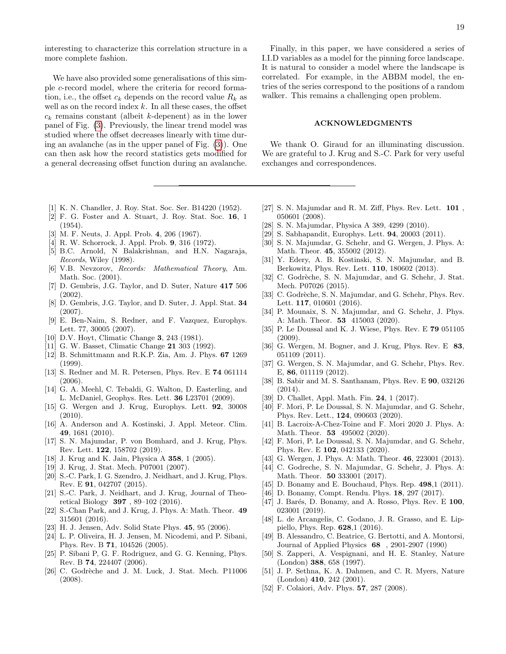interesting to characterize this correlation structure in a more complete fashion.

We have also provided some generalisations of this simple c-record model, where the criteria for record formation, i.e., the offset  $c_k$  depends on the record value  $R_k$  as well as on the record index  $k$ . In all these cases, the offset  $c_k$  remains constant (albeit k-depenent) as in the lower panel of Fig. [\(3\)](#page-4-1). Previously, the linear trend model was studied where the offset decreases linearly with time during an avalanche (as in the upper panel of Fig. [\(3\)](#page-4-1)). One can then ask how the record statistics gets modified for a general decreasing offset function during an avalanche.

- <span id="page-18-0"></span>[1] K. N. Chandler, J. Roy. Stat. Soc. Ser. B14220 (1952).
- [2] F. G. Foster and A. Stuart, J. Roy. Stat. Soc. 16, 1  $(1954)$
- [3] M. F. Neuts, J. Appl. Prob. 4, 206 (1967).
- [4] R. W. Schorrock, J. Appl. Prob. 9, 316 (1972).
- [5] B.C. Arnold, N Balakrishnan, and H.N. Nagaraja, Records, Wiley (1998).
- <span id="page-18-1"></span>[6] V.B. Nevzorov, Records: Mathematical Theory, Am. Math. Soc. (2001).
- <span id="page-18-2"></span>[7] D. Gembris, J.G. Taylor, and D. Suter, Nature 417 506 (2002).
- [8] D. Gembris, J.G. Taylor, and D. Suter, J. Appl. Stat. 34 (2007).
- <span id="page-18-3"></span>[9] E. Ben-Naim, S. Redner, and F. Vazquez, Europhys. Lett. 77, 30005 (2007).
- <span id="page-18-4"></span>[10] D.V. Hoyt, Climatic Change **3**, 243 (1981).
- [11] G. W. Basset, Climatic Change 21 303 (1992).
- [12] B. Schmittmann and R.K.P. Zia, Am. J. Phys. 67 1269 (1999).
- <span id="page-18-28"></span>[13] S. Redner and M. R. Petersen, Phys. Rev. E 74 061114 (2006).
- [14] G. A. Meehl, C. Tebaldi, G. Walton, D. Easterling, and L. McDaniel, Geophys. Res. Lett. 36 L23701 (2009).
- [15] G. Wergen and J. Krug, Europhys. Lett. 92, 30008 (2010).
- [16] A. Anderson and A. Kostinski, J. Appl. Meteor. Clim. 49, 1681 (2010).
- <span id="page-18-5"></span>[17] S. N. Majumdar, P. von Bomhard, and J. Krug, Phys. Rev. Lett. 122, 158702 (2019).
- <span id="page-18-6"></span>[18] J. Krug and K. Jain, Physica A 358, 1 (2005).
- [19] J. Krug, J. Stat. Mech. P07001 (2007).
- <span id="page-18-26"></span>[20] S.-C. Park, I. G. Szendro, J. Neidhart, and J. Krug, Phys. Rev. E 91, 042707 (2015).
- [21] S.-C. Park, J. Neidhart, and J. Krug, Journal of Theoretical Biology 397 , 89–102 (2016).
- <span id="page-18-7"></span>[22] S.-Chan Park, and J. Krug, J. Phys. A: Math. Theor. 49 315601 (2016).
- <span id="page-18-8"></span>[23] H. J. Jensen, Adv. Solid State Phys. 45, 95 (2006).
- [24] L. P. Oliveira, H. J. Jensen, M. Nicodemi, and P. Sibani, Phys. Rev. B 71, 104526 (2005).
- <span id="page-18-9"></span>[25] P. Sibani P, G. F. Rodriguez, and G. G. Kenning, Phys. Rev. B 74, 224407 (2006).
- <span id="page-18-10"></span>[26] C. Godrèche and J. M. Luck, J. Stat. Mech. P11006 (2008).

# ACKNOWLEDGMENTS

We thank O. Giraud for an illuminating discussion. We are grateful to J. Krug and S.-C. Park for very useful exchanges and correspondences.

- <span id="page-18-11"></span>[27] S. N. Majumdar and R. M. Ziff, Phys. Rev. Lett. 101 , 050601 (2008).
- [28] S. N. Majumdar, Physica A 389, 4299 (2010).
- [29] S. Sabhapandit, Europhys. Lett. 94, 20003 (2011).
- [30] S. N. Majumdar, G. Schehr, and G. Wergen, J. Phys. A: Math. Theor. 45, 355002 (2012).
- [31] Y. Edery, A. B. Kostinski, S. N. Majumdar, and B. Berkowitz, Phys. Rev. Lett. 110, 180602 (2013).
- [32] C. Godrèche, S. N. Majumdar, and G. Schehr, J. Stat. Mech. P07026 (2015).
- [33] C. Godrèche, S. N. Majumdar, and G. Schehr, Phys. Rev. Lett. 117, 010601 (2016).
- <span id="page-18-12"></span>[34] P. Mounaix, S. N. Majumdar, and G. Schehr, J. Phys. A: Math. Theor. 53 415003 (2020).
- <span id="page-18-13"></span>[35] P. Le Doussal and K. J. Wiese, Phys. Rev. E 79 051105 (2009).
- <span id="page-18-14"></span>[36] G. Wergen, M. Bogner, and J. Krug, Phys. Rev. E 83, 051109 (2011).
- [37] G. Wergen, S. N. Majumdar, and G. Schehr, Phys. Rev. E, 86, 011119 (2012).
- [38] B. Sabir and M. S. Santhanam, Phys. Rev. E 90, 032126 (2014).
- <span id="page-18-15"></span>[39] D. Challet, Appl. Math. Fin. **24**, 1 (2017).
- <span id="page-18-16"></span>[40] F. Mori, P. Le Doussal, S. N. Majumdar, and G. Schehr, Phys. Rev. Lett., 124, 090603 (2020).
- [41] B. Lacroix-A-Chez-Toine and F. Mori 2020 J. Phys. A: Math. Theor. **53** 495002 (2020).
- <span id="page-18-17"></span>[42] F. Mori, P. Le Doussal, S. N. Majumdar, and G. Schehr, Phys. Rev. E 102, 042133 (2020).
- <span id="page-18-18"></span>[43] G. Wergen, J. Phys. A: Math. Theor. **46**, 223001 (2013).
- <span id="page-18-19"></span>[44] C. Godreche, S. N. Majumdar, G. Schehr, J. Phys. A: Math. Theor. 50 333001 (2017).
- <span id="page-18-20"></span>[45] D. Bonamy and E. Bouchaud, Phys. Rep. 498.1 (2011).
- [46] D. Bonamy, Compt. Rendu. Phys. 18, 297 (2017).
- <span id="page-18-21"></span>[47] J. Barés, D. Bonamy, and A. Rosso, Phys. Rev. E  $100$ , 023001 (2019).
- <span id="page-18-22"></span>[48] L. de Arcangelis, C. Godano, J. R. Grasso, and E. Lippiello, Phys. Rep. 628,1 (2016).
- <span id="page-18-23"></span>[49] B. Alessandro, C. Beatrice, G. Bertotti, and A. Montorsi, Journal of Applied Physics 68 , 2901-2907 (1990)
- <span id="page-18-27"></span>[50] S. Zapperi, A. Vespignani, and H. E. Stanley, Nature (London) 388, 658 (1997).
- <span id="page-18-24"></span>[51] J. P. Sethna, K. A. Dahmen, and C. R. Myers, Nature  $(London)$  410, 242 (2001).
- <span id="page-18-25"></span>[52] F. Colaiori, Adv. Phys. 57, 287 (2008).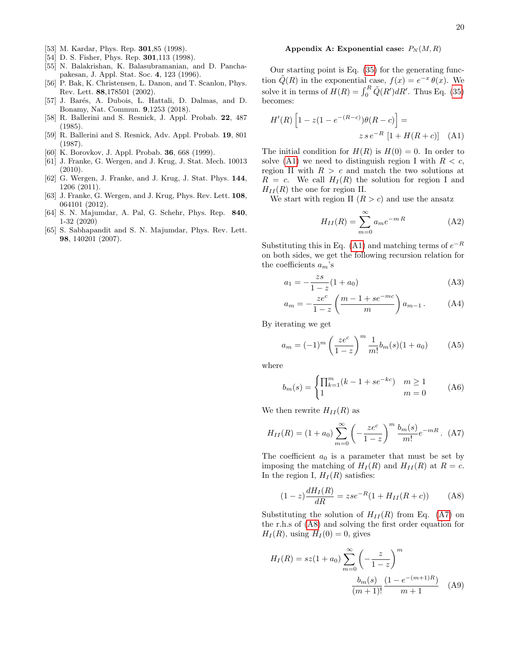- <span id="page-19-0"></span>[53] M. Kardar, Phys. Rep. **301**,85 (1998).
- <span id="page-19-1"></span>[54] D. S. Fisher, Phys. Rep. **301**,113 (1998).
- <span id="page-19-2"></span>[55] N. Balakrishan, K. Balasubramanian, and D. Panchapakesan, J. Appl. Stat. Soc. 4, 123 (1996).
- <span id="page-19-3"></span>[56] P. Bak, K. Christensen, L. Danon, and T. Scanlon, Phys. Rev. Lett. 88,178501 (2002).
- <span id="page-19-4"></span>[57] J. Barés, A. Dubois, L. Hattali, D. Dalmas, and D. Bonamy, Nat. Commun. 9,1253 (2018).
- <span id="page-19-5"></span>[58] R. Ballerini and S. Resnick, J. Appl. Probab. 22, 487 (1985).
- <span id="page-19-6"></span>[59] R. Ballerini and S. Resnick, Adv. Appl. Probab. 19, 801 (1987).
- <span id="page-19-7"></span>[60] K. Borovkov, J. Appl. Probab. 36, 668 (1999).
- <span id="page-19-9"></span>[61] J. Franke, G. Wergen, and J. Krug, J. Stat. Mech. 10013 (2010).
- <span id="page-19-10"></span>[62] G. Wergen, J. Franke, and J. Krug, J. Stat. Phys. 144, 1206 (2011).
- <span id="page-19-8"></span>[63] J. Franke, G. Wergen, and J. Krug, Phys. Rev. Lett. **108**, 064101 (2012).
- <span id="page-19-12"></span>[64] S. N. Majumdar, A. Pal, G. Schehr, Phys. Rep. 840, 1-32 (2020)
- <span id="page-19-13"></span>[65] S. Sabhapandit and S. N. Majumdar, Phys. Rev. Lett. 98, 140201 (2007).

### <span id="page-19-11"></span>Appendix A: Exponential case:  $P_N(M, R)$

Our starting point is Eq. [\(35\)](#page-8-7) for the generating function  $\tilde{Q}(R)$  in the exponential case,  $f(x) = e^{-x} \theta(x)$ . We solve it in terms of  $H(R) = \int_0^R \tilde{Q}(R') dR'$ . Thus Eq. [\(35\)](#page-8-7) becomes:

$$
H'(R)\left[1 - z(1 - e^{-(R-c)})\theta(R - c)\right] =
$$
  

$$
z \, s \, e^{-R} \left[1 + H(R + c)\right] \quad \text{(A1)}
$$

The initial condition for  $H(R)$  is  $H(0) = 0$ . In order to solve [\(A1\)](#page-19-14) we need to distinguish region I with  $R < c$ , region II with  $R > c$  and match the two solutions at  $R = c$ . We call  $H<sub>I</sub>(R)$  the solution for region I and  $H_{II}(R)$  the one for region II.

We start with region II  $(R > c)$  and use the ansatz

<span id="page-19-17"></span><span id="page-19-14"></span>
$$
H_{II}(R) = \sum_{m=0}^{\infty} a_m e^{-mR}
$$
 (A2)

Substituting this in Eq. [\(A1\)](#page-19-14) and matching terms of  $e^{-R}$ on both sides, we get the following recursion relation for the coefficients  $a_m$ 's

$$
a_1 = -\frac{zs}{1-z}(1+a_0)
$$
 (A3)

$$
a_m = -\frac{ze^c}{1-z} \left( \frac{m-1+se^{-mc}}{m} \right) a_{m-1} .
$$
 (A4)

By iterating we get

$$
a_m = (-1)^m \left(\frac{ze^c}{1-z}\right)^m \frac{1}{m!} b_m(s) (1+a_0) \tag{A5}
$$

where

$$
b_m(s) = \begin{cases} \prod_{k=1}^m (k - 1 + se^{-kc}) & m \ge 1\\ 1 & m = 0 \end{cases}
$$
 (A6)

We then rewrite  $H_{II}(R)$  as

<span id="page-19-15"></span>
$$
H_{II}(R) = (1 + a_0) \sum_{m=0}^{\infty} \left( -\frac{ze^c}{1 - z} \right)^m \frac{b_m(s)}{m!} e^{-mR}.
$$
 (A7)

The coefficient  $a_0$  is a parameter that must be set by imposing the matching of  $H_I(R)$  and  $H_{II}(R)$  at  $R = c$ . In the region I,  $H_I(R)$  satisfies:

<span id="page-19-16"></span>
$$
(1-z)\frac{dH_I(R)}{dR} = zse^{-R}(1 + H_{II}(R+c))
$$
 (A8)

Substituting the solution of  $H_{II}(R)$  from Eq. [\(A7\)](#page-19-15) on the r.h.s of [\(A8\)](#page-19-16) and solving the first order equation for  $H<sub>I</sub>(R)$ , using  $H<sub>I</sub>(0) = 0$ , gives

$$
H_I(R) = sz(1 + a_0) \sum_{m=0}^{\infty} \left( -\frac{z}{1-z} \right)^m
$$

$$
\frac{b_m(s)}{(m+1)!} \frac{(1 - e^{-(m+1)R})}{m+1}
$$
 (A9)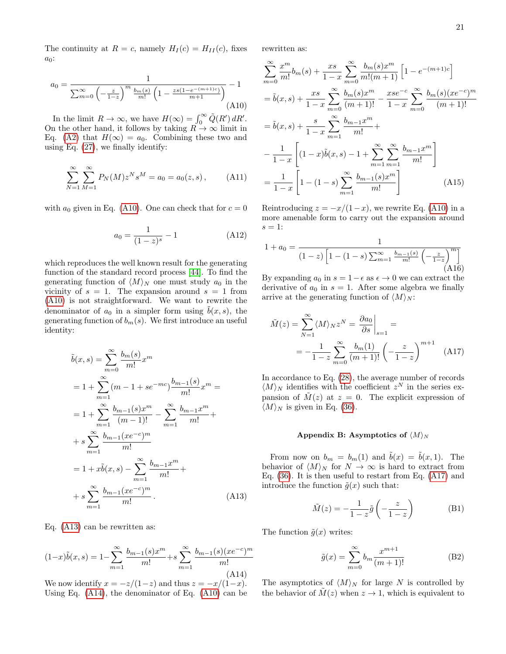The continuity at  $R = c$ , namely  $H_I(c) = H_{II}(c)$ , fixes  $a_0$ :

<span id="page-20-1"></span>
$$
a_0 = \frac{1}{\sum_{m=0}^{\infty} \left(-\frac{z}{1-z}\right)^m \frac{b_m(s)}{m!} \left(1 - \frac{zs(1-e^{-(m+1)c})}{m+1}\right)} - 1
$$
\n(A10)

In the limit  $R \to \infty$ , we have  $H(\infty) = \int_0^\infty \tilde{Q}(R') dR'$ . On the other hand, it follows by taking  $\ddot{R} \rightarrow \infty$  limit in Eq. [\(A2\)](#page-19-17) that  $H(\infty) = a_0$ . Combining these two and using Eq. [\(27\)](#page-7-5), we finally identify:

$$
\sum_{N=1}^{\infty} \sum_{M=1}^{\infty} P_N(M) z^N s^M = a_0 = a_0(z, s), \quad (A11)
$$

with  $a_0$  given in Eq. [\(A10\)](#page-20-1). One can check that for  $c = 0$ 

$$
a_0 = \frac{1}{(1-z)^s} - 1\tag{A12}
$$

which reproduces the well known result for the generating function of the standard record process [\[44\]](#page-18-19). To find the generating function of  $\langle M \rangle_N$  one must study  $a_0$  in the vicinity of  $s = 1$ . The expansion around  $s = 1$  from [\(A10\)](#page-20-1) is not straightforward. We want to rewrite the denominator of  $a_0$  in a simpler form using  $b(x, s)$ , the generating function of  $b_m(s)$ . We first introduce an useful identity:

$$
\tilde{b}(x, s) = \sum_{m=0}^{\infty} \frac{b_m(s)}{m!} x^m
$$
  
=  $1 + \sum_{m=1}^{\infty} (m - 1 + se^{-mc}) \frac{b_{m-1}(s)}{m!} x^m =$   
=  $1 + \sum_{m=1}^{\infty} \frac{b_{m-1}(s) x^m}{(m-1)!} - \sum_{m=1}^{\infty} \frac{b_{m-1} x^m}{m!} +$   
+  $s \sum_{m=1}^{\infty} \frac{b_{m-1}(xe^{-c})^m}{m!}$   
=  $1 + x \tilde{b}(x, s) - \sum_{m=1}^{\infty} \frac{b_{m-1} x^m}{m!} +$   
+  $s \sum_{m=1}^{\infty} \frac{b_{m-1}(xe^{-c})^m}{m!}$ . (A13)

Eq. [\(A13\)](#page-20-2) can be rewritten as:

<span id="page-20-3"></span>
$$
(1-x)\tilde{b}(x,s) = 1 - \sum_{m=1}^{\infty} \frac{b_{m-1}(s)x^m}{m!} + s \sum_{m=1}^{\infty} \frac{b_{m-1}(s)(xe^{-c})^m}{m!}
$$
\n(A14)

We now identify  $x = -z/(1-z)$  and thus  $z = -x/(1-x)$ . Using Eq. [\(A14\)](#page-20-3), the denominator of Eq. [\(A10\)](#page-20-1) can be rewritten as:

$$
\sum_{m=0}^{\infty} \frac{x^m}{m!} b_m(s) + \frac{xs}{1-x} \sum_{m=0}^{\infty} \frac{b_m(s)x^m}{m!(m+1)} \left[ 1 - e^{-(m+1)c} \right]
$$
  
=  $\tilde{b}(x, s) + \frac{xs}{1-x} \sum_{m=0}^{\infty} \frac{b_m(s)x^m}{(m+1)!} - \frac{xse^{-c}}{1-x} \sum_{m=0}^{\infty} \frac{b_m(s)(xe^{-c})^m}{(m+1)!}$   
=  $\tilde{b}(x, s) + \frac{s}{1-x} \sum_{m=1}^{\infty} \frac{b_{m-1}x^m}{m!} +$   

$$
-\frac{1}{1-x} \left[ (1-x)\tilde{b}(x, s) - 1 + \sum_{m=1}^{\infty} \sum_{m=1}^{\infty} \frac{b_{m-1}x^m}{m!} \right]
$$
  
=  $\frac{1}{1-x} \left[ 1 - (1-s) \sum_{m=1}^{\infty} \frac{b_{m-1}(s)x^m}{m!} \right]$  (A15)

Reintroducing  $z = -x/(1-x)$ , we rewrite Eq. [\(A10\)](#page-20-1) in a more amenable form to carry out the expansion around  $s=1$ :

$$
1 + a_0 = \frac{1}{(1-z)\left[1 - (1-s)\sum_{m=1}^{\infty} \frac{b_{m-1}(s)}{m!} \left(-\frac{z}{1-z}\right)^m\right]}
$$
(A16)

By expanding  $a_0$  in  $s = 1 - \epsilon$  as  $\epsilon \to 0$  we can extract the derivative of  $a_0$  in  $s = 1$ . After some algebra we finally arrive at the generating function of  $\langle M \rangle_N$ :

$$
\tilde{M}(z) = \sum_{N=1}^{\infty} \langle M \rangle_N z^N = \frac{\partial a_0}{\partial s} \Big|_{s=1} =
$$

$$
= -\frac{1}{1-z} \sum_{m=0}^{\infty} \frac{b_m(1)}{(m+1)!} \left( -\frac{z}{1-z} \right)^{m+1} \quad \text{(A17)}
$$

In accordance to Eq. [\(28\)](#page-7-7), the average number of records  $\langle M \rangle_N$  identifies with the coefficient  $z^N$  in the series expansion of  $\tilde{M}(z)$  at  $z = 0$ . The explicit expression of  $\langle M \rangle_N$  is given in Eq. [\(36\)](#page-8-2).

#### <span id="page-20-4"></span><span id="page-20-0"></span>Appendix B: Asymptotics of  $\langle M \rangle_N$

<span id="page-20-2"></span>From now on  $b_m = b_m(1)$  and  $\tilde{b}(x) = \tilde{b}(x, 1)$ . The behavior of  $\langle M \rangle_N$  for  $N \to \infty$  is hard to extract from Eq. [\(36\)](#page-8-2). It is then useful to restart from Eq. [\(A17\)](#page-20-4) and introduce the function  $\tilde{g}(x)$  such that:

<span id="page-20-6"></span>
$$
\tilde{M}(z) = -\frac{1}{1-z}\tilde{g}\left(-\frac{z}{1-z}\right) \tag{B1}
$$

The function  $\tilde{g}(x)$  writes:

<span id="page-20-5"></span>
$$
\tilde{g}(x) = \sum_{m=0}^{\infty} b_m \frac{x^{m+1}}{(m+1)!}
$$
 (B2)

The asymptotics of  $\langle M \rangle_N$  for large N is controlled by the behavior of  $M(z)$  when  $z \to 1$ , which is equivalent to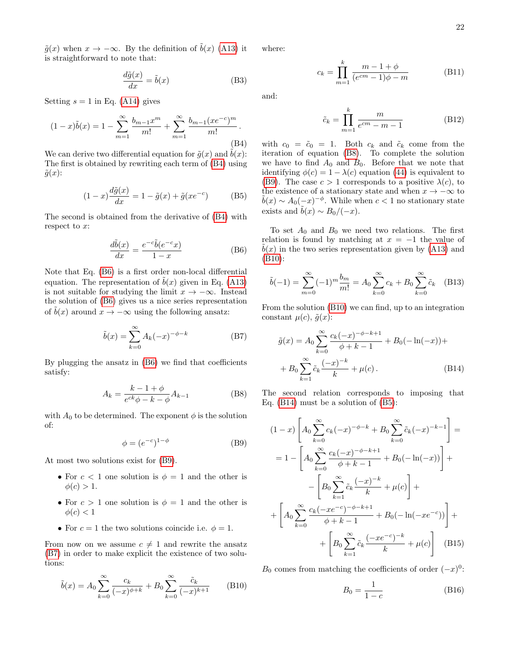$\tilde{g}(x)$  when  $x \to -\infty$ . By the definition of  $\tilde{b}(x)$  [\(A13\)](#page-20-2) it is straightforward to note that:

$$
\frac{d\tilde{g}(x)}{dx} = \tilde{b}(x) \tag{B3}
$$

Setting  $s = 1$  in Eq. [\(A14\)](#page-20-3) gives

<span id="page-21-0"></span>
$$
(1-x)\tilde{b}(x) = 1 - \sum_{m=1}^{\infty} \frac{b_{m-1}x^m}{m!} + \sum_{m=1}^{\infty} \frac{b_{m-1}(xe^{-c})^m}{m!}.
$$
\n(B4)

We can derive two differential equation for  $\tilde{g}(x)$  and  $\tilde{b}(x)$ : The first is obtained by rewriting each term of [\(B4\)](#page-21-0) using  $\tilde{g}(x)$ :

<span id="page-21-7"></span>
$$
(1-x)\frac{d\tilde{g}(x)}{dx} = 1 - \tilde{g}(x) + \tilde{g}(xe^{-c})
$$
 (B5)

The second is obtained from the derivative of [\(B4\)](#page-21-0) with respect to x:

<span id="page-21-1"></span>
$$
\frac{d\tilde{b}(x)}{dx} = \frac{e^{-c}\tilde{b}(e^{-c}x)}{1-x}
$$
 (B6)

Note that Eq. [\(B6\)](#page-21-1) is a first order non-local differential equation. The representation of  $\tilde{b}(x)$  given in Eq. [\(A13\)](#page-20-2) is not suitable for studying the limit  $x \to -\infty$ . Instead the solution of [\(B6\)](#page-21-1) gives us a nice series representation of  $b(x)$  around  $x \to -\infty$  using the following ansatz:

<span id="page-21-3"></span>
$$
\tilde{b}(x) = \sum_{k=0}^{\infty} A_k (-x)^{-\phi - k}
$$
 (B7)

By plugging the ansatz in [\(B6\)](#page-21-1) we find that coefficients satisfy:

<span id="page-21-4"></span>
$$
A_k = \frac{k - 1 + \phi}{e^{ck}\phi - k - \phi} A_{k-1}
$$
 (B8)

with  $A_0$  to be determined. The exponent  $\phi$  is the solution of:

<span id="page-21-2"></span>
$$
\phi = (e^{-c})^{1-\phi} \tag{B9}
$$

At most two solutions exist for [\(B9\)](#page-21-2).

- For  $c < 1$  one solution is  $\phi = 1$  and the other is  $\phi(c) > 1.$
- For  $c > 1$  one solution is  $\phi = 1$  and the other is  $\phi(c) < 1$
- For  $c = 1$  the two solutions coincide i.e.  $\phi = 1$ .

From now on we assume  $c \neq 1$  and rewrite the ansatz [\(B7\)](#page-21-3) in order to make explicit the existence of two solutions:

<span id="page-21-5"></span>
$$
\tilde{b}(x) = A_0 \sum_{k=0}^{\infty} \frac{c_k}{(-x)^{\phi+k}} + B_0 \sum_{k=0}^{\infty} \frac{\tilde{c}_k}{(-x)^{k+1}} \qquad (B10)
$$

where:

$$
c_k = \prod_{m=1}^{k} \frac{m - 1 + \phi}{(e^{cm} - 1)\phi - m}
$$
 (B11)

and:

$$
\tilde{c}_k = \prod_{m=1}^k \frac{m}{e^{cm} - m - 1} \tag{B12}
$$

with  $c_0 = \tilde{c}_0 = 1$ . Both  $c_k$  and  $\tilde{c}_k$  come from the iteration of equation [\(B8\)](#page-21-4). To complete the solution we have to find  $A_0$  and  $B_0$ . Before that we note that identifying  $\phi(c) = 1 - \lambda(c)$  equation [\(44\)](#page-9-6) is equivalent to [\(B9\)](#page-21-2). The case  $c > 1$  corresponds to a positive  $\lambda(c)$ , to the existence of a stationary state and when  $x \to -\infty$  to  $\tilde{b}(x) \sim A_0(-x)^{-\phi}$ . While when  $c < 1$  no stationary state exists and  $\tilde{b}(x) \sim B_0/(-x)$ .

To set  $A_0$  and  $B_0$  we need two relations. The first relation is found by matching at  $x = -1$  the value of  $b(x)$  in the two series representation given by [\(A13\)](#page-20-2) and [\(B10\)](#page-21-5):

<span id="page-21-8"></span>
$$
\tilde{b}(-1) = \sum_{m=0}^{\infty} (-1)^m \frac{b_m}{m!} = A_0 \sum_{k=0}^{\infty} c_k + B_0 \sum_{k=0}^{\infty} \tilde{c}_k \quad (B13)
$$

From the solution [\(B10\)](#page-21-5) we can find, up to an integration constant  $\mu(c), \tilde{g}(x)$ :

<span id="page-21-6"></span>
$$
\tilde{g}(x) = A_0 \sum_{k=0}^{\infty} \frac{c_k(-x)^{-\phi - k + 1}}{\phi + k - 1} + B_0(-\ln(-x)) +
$$

$$
+ B_0 \sum_{k=1}^{\infty} \tilde{c}_k \frac{(-x)^{-k}}{k} + \mu(c).
$$
(B14)

The second relation corresponds to imposing that Eq. [\(B14\)](#page-21-6) must be a solution of [\(B5\)](#page-21-7):

$$
(1-x)\left[A_0 \sum_{k=0}^{\infty} c_k(-x)^{-\phi-k} + B_0 \sum_{k=0}^{\infty} \tilde{c}_k(-x)^{-k-1}\right] =
$$
  
\n
$$
= 1 - \left[A_0 \sum_{k=0}^{\infty} \frac{c_k(-x)^{-\phi-k+1}}{\phi+k-1} + B_0(-\ln(-x))\right] +
$$
  
\n
$$
- \left[B_0 \sum_{k=1}^{\infty} \tilde{c}_k \frac{(-x)^{-k}}{k} + \mu(c)\right] +
$$
  
\n
$$
+ \left[A_0 \sum_{k=0}^{\infty} \frac{c_k(-xe^{-c})^{-\phi-k+1}}{\phi+k-1} + B_0(-\ln(-xe^{-c}))\right] +
$$
  
\n
$$
+ \left[B_0 \sum_{k=1}^{\infty} \tilde{c}_k \frac{(-xe^{-c})^{-k}}{k} + \mu(c)\right] \quad (B15)
$$

 $B_0$  comes from matching the coefficients of order  $(-x)^0$ :

$$
B_0 = \frac{1}{1 - c} \tag{B16}
$$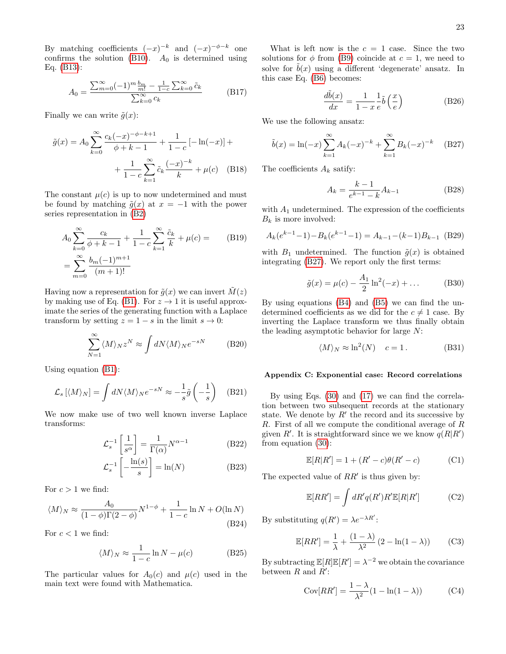By matching coefficients  $(-x)^{-k}$  and  $(-x)^{-\phi-k}$  one confirms the solution [\(B10\)](#page-21-5).  $A_0$  is determined using Eq. [\(B13\)](#page-21-8):

<span id="page-22-0"></span>
$$
A_0 = \frac{\sum_{m=0}^{\infty} (-1)^m \frac{b_m}{m!} - \frac{1}{1-c} \sum_{k=0}^{\infty} \tilde{c}_k}{\sum_{k=0}^{\infty} c_k}
$$
(B17)

Finally we can write  $\tilde{q}(x)$ :

$$
\tilde{g}(x) = A_0 \sum_{k=0}^{\infty} \frac{c_k(-x)^{-\phi - k + 1}}{\phi + k - 1} + \frac{1}{1 - c} \left[ -\ln(-x) \right] + \frac{1}{1 - c} \sum_{k=1}^{\infty} \tilde{c}_k \frac{(-x)^{-k}}{k} + \mu(c) \quad (B18)
$$

The constant  $\mu(c)$  is up to now undetermined and must be found by matching  $\tilde{g}(x)$  at  $x = -1$  with the power series representation in [\(B2\)](#page-20-5)

$$
A_0 \sum_{k=0}^{\infty} \frac{c_k}{\phi + k - 1} + \frac{1}{1 - c} \sum_{k=1}^{\infty} \frac{\tilde{c}_k}{k} + \mu(c) = \qquad (B19)
$$

$$
= \sum_{m=0}^{\infty} \frac{b_m (-1)^{m+1}}{(m+1)!}
$$

Having now a representation for  $\tilde{q}(x)$  we can invert  $M(z)$ by making use of Eq. [\(B1\)](#page-20-6). For  $z \to 1$  it is useful approximate the series of the generating function with a Laplace transform by setting  $z = 1 - s$  in the limit  $s \to 0$ :

$$
\sum_{N=1}^{\infty} \langle M \rangle_N z^N \approx \int dN \langle M \rangle_N e^{-sN}
$$
 (B20)

Using equation [\(B1\)](#page-20-6):

$$
\mathcal{L}_s \left[ \langle M \rangle_N \right] = \int dN \langle M \rangle_N e^{-sN} \approx -\frac{1}{s} \tilde{g} \left( -\frac{1}{s} \right) \quad \text{(B21)}
$$

We now make use of two well known inverse Laplace transforms:

$$
\mathcal{L}_s^{-1} \left[ \frac{1}{s^{\alpha}} \right] = \frac{1}{\Gamma(\alpha)} N^{\alpha - 1}
$$
 (B22)

$$
\mathcal{L}_s^{-1}\left[-\frac{\ln(s)}{s}\right] = \ln(N) \tag{B23}
$$

For  $c > 1$  we find:

$$
\langle M \rangle_N \approx \frac{A_0}{(1 - \phi)\Gamma(2 - \phi)} N^{1 - \phi} + \frac{1}{1 - c} \ln N + O(\ln N)
$$
\n(B24)

For  $c < 1$  we find:

$$
\langle M \rangle_N \approx \frac{1}{1 - c} \ln N - \mu(c) \tag{B25}
$$

The particular values for  $A_0(c)$  and  $\mu(c)$  used in the main text were found with Mathematica.

What is left now is the  $c = 1$  case. Since the two solutions for  $\phi$  from [\(B9\)](#page-21-2) coincide at  $c = 1$ , we need to solve for  $\tilde{b}(x)$  using a different 'degenerate' ansatz. In this case Eq. [\(B6\)](#page-21-1) becomes:

$$
\frac{d\tilde{b}(x)}{dx} = \frac{1}{1-x} \frac{1}{e} \tilde{b}\left(\frac{x}{e}\right)
$$
 (B26)

We use the following ansatz:

<span id="page-22-2"></span>
$$
\tilde{b}(x) = \ln(-x) \sum_{k=1}^{\infty} A_k (-x)^{-k} + \sum_{k=1}^{\infty} B_k (-x)^{-k} \quad (B27)
$$

The coefficients  $A_k$  satify:

$$
A_k = \frac{k-1}{e^{k-1} - k} A_{k-1}
$$
 (B28)

with  $A_1$  undetermined. The expression of the coefficients  $B_k$  is more involved:

$$
A_k(e^{k-1}-1) - B_k(e^{k-1}-1) = A_{k-1} - (k-1)B_{k-1}
$$
 (B29)

with  $B_1$  undetermined. The function  $\tilde{g}(x)$  is obtained integrating [\(B27\)](#page-22-2). We report only the first terms:

$$
\tilde{g}(x) = \mu(c) - \frac{A_1}{2} \ln^2(-x) + \dots
$$
 (B30)

By using equations [\(B4\)](#page-21-0) and [\(B5\)](#page-21-7) we can find the undetermined coefficients as we did for the  $c \neq 1$  case. By inverting the Laplace transform we thus finally obtain the leading asymptotic behavior for large N:

$$
\langle M \rangle_N \approx \ln^2(N) \quad c = 1. \tag{B31}
$$

### <span id="page-22-1"></span>Appendix C: Exponential case: Record correlations

By using Eqs. [\(30\)](#page-8-3) and [\(17\)](#page-5-2) we can find the correlation between two subsequent records at the stationary state. We denote by  $R'$  the record and its successive by R. First of all we compute the conditional average of R given R'. It is straightforward since we we know  $q(R|R)$ from equation [\(30\)](#page-8-3):

$$
\mathbb{E}[R|R'] = 1 + (R' - c)\theta(R' - c)
$$
 (C1)

The expected value of  $RR'$  is thus given by:

$$
\mathbb{E}[RR'] = \int dR'q(R')R'\mathbb{E}[R|R'] \tag{C2}
$$

By substituting  $q(R') = \lambda e^{-\lambda R'}$ :

$$
\mathbb{E}[RR'] = \frac{1}{\lambda} + \frac{(1-\lambda)}{\lambda^2} (2 - \ln(1-\lambda))
$$
 (C3)

By subtracting  $\mathbb{E}[R]\mathbb{E}[R'] = \lambda^{-2}$  we obtain the covariance between  $R$  and  $R'$ :

$$
Cov[RR'] = \frac{1 - \lambda}{\lambda^2} (1 - \ln(1 - \lambda))
$$
 (C4)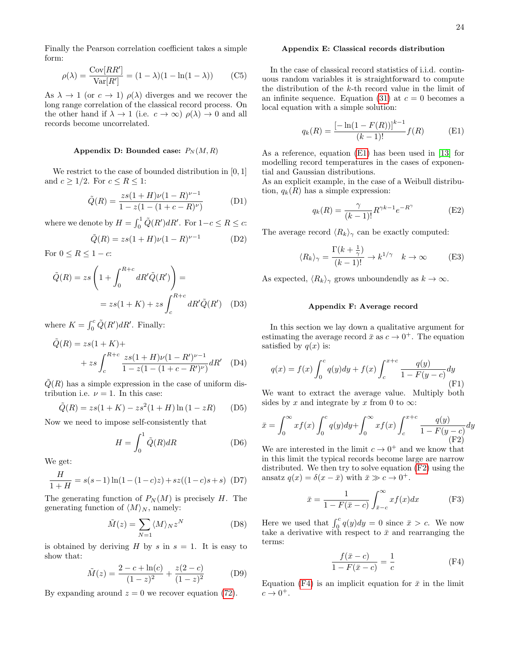Finally the Pearson correlation coefficient takes a simple form:

$$
\rho(\lambda) = \frac{\text{Cov}[RR']}{\text{Var}[R']} = (1 - \lambda)(1 - \ln(1 - \lambda))
$$
 (C5)

As  $\lambda \to 1$  (or  $c \to 1$ )  $\rho(\lambda)$  diverges and we recover the long range correlation of the classical record process. On the other hand if  $\lambda \to 1$  (i.e.  $c \to \infty$ )  $\rho(\lambda) \to 0$  and all records become uncorrelated.

## <span id="page-23-0"></span>Appendix D: Bounded case:  $P_N(M, R)$

We restrict to the case of bounded distribution in  $[0, 1]$ and  $c \geq 1/2$ . For  $c \leq R \leq 1$ :

$$
\tilde{Q}(R) = \frac{zs(1+H)\nu(1-R)^{\nu-1}}{1 - z(1 - (1+c-R)^{\nu})}
$$
(D1)

where we denote by  $H = \int_0^1 \tilde{Q}(R') dR'$ . For  $1-c \le R \le c$ :

$$
\tilde{Q}(R) = zs(1 + H)\nu(1 - R)^{\nu - 1}
$$
 (D2)

For  $0 \leq R \leq 1 - c$ :

$$
\tilde{Q}(R) = zs \left( 1 + \int_0^{R+c} dR' \tilde{Q}(R') \right) =
$$
  
=  $zs(1 + K) + zs \int_c^{R+c} dR' \tilde{Q}(R')$  (D3)

where  $K = \int_0^c \tilde{Q}(R') dR'$ . Finally:

$$
\tilde{Q}(R) = zs(1 + K) ++ zs \int_{c}^{R+c} \frac{zs(1 + H)\nu(1 - R')^{\nu - 1}}{1 - z(1 - (1 + c - R')^{\nu})} dR' \quad (D4)
$$

 $\tilde{Q}(R)$  has a simple expression in the case of uniform distribution i.e.  $\nu = 1$ . In this case:

$$
\tilde{Q}(R) = zs(1 + K) - zs^{2}(1 + H) \ln(1 - zR)
$$
 (D5)

Now we need to impose self-consistently that

$$
H = \int_0^1 \tilde{Q}(R)dR
$$
 (D6)

We get:

$$
\frac{H}{1+H} = s(s-1)\ln(1-(1-c)z) + sz((1-c)s + s)
$$
 (D7)

The generating function of  $P_N(M)$  is precisely H. The generating function of  $\langle M \rangle_N$ , namely:

$$
\tilde{M}(z) = \sum_{N=1} \langle M \rangle_N z^N \tag{D8}
$$

is obtained by deriving H by s in  $s = 1$ . It is easy to show that:

$$
\tilde{M}(z) = \frac{2 - c + \ln(c)}{(1 - z)^2} + \frac{z(2 - c)}{(1 - z)^2}
$$
 (D9)

By expanding around  $z = 0$  we recover equation [\(72\)](#page-15-0).

#### Appendix E: Classical records distribution

In the case of classical record statistics of i.i.d. continuous random variables it is straightforward to compute the distribution of the k-th record value in the limit of an infinite sequence. Equation [\(31\)](#page-8-4) at  $c = 0$  becomes a local equation with a simple solution:

<span id="page-23-2"></span>
$$
q_k(R) = \frac{\left[-\ln(1 - F(R))\right]^{k-1}}{(k-1)!} f(R)
$$
 (E1)

As a reference, equation [\(E1\)](#page-23-2) has been used in [\[13\]](#page-18-28) for modelling record temperatures in the cases of exponential and Gaussian distributions.

As an explicit example, in the case of a Weibull distribution,  $q_k(R)$  has a simple expression:

$$
q_k(R) = \frac{\gamma}{(k-1)!} R^{\gamma k - 1} e^{-R^{\gamma}}
$$
 (E2)

The average record  $\langle R_k \rangle_{\gamma}$  can be exactly computed:

$$
\langle R_k \rangle_{\gamma} = \frac{\Gamma(k + \frac{1}{\gamma})}{(k - 1)!} \to k^{1/\gamma} \quad k \to \infty \tag{E3}
$$

As expected,  $\langle R_k \rangle_\gamma$  grows unboundendly as  $k \to \infty$ .

### <span id="page-23-1"></span>Appendix F: Average record

In this section we lay down a qualitative argument for estimating the average record  $\bar{x}$  as  $c \to 0^+$ . The equation satisfied by  $q(x)$  is:

$$
q(x) = f(x) \int_0^c q(y) dy + f(x) \int_c^{x+c} \frac{q(y)}{1 - F(y - c)} dy
$$
\n(F1)

We want to extract the average value. Multiply both sides by x and integrate by x from 0 to  $\infty$ :

<span id="page-23-3"></span>
$$
\bar{x} = \int_0^\infty x f(x) \int_0^c q(y) dy + \int_0^\infty x f(x) \int_c^{x+c} \frac{q(y)}{1 - F(y - c)} dy
$$
\n(F2)

We are interested in the limit  $c \to 0^+$  and we know that in this limit the typical records become large are narrow distributed. We then try to solve equation [\(F2\)](#page-23-3) using the ansatz  $q(x) = \delta(x - \bar{x})$  with  $\bar{x} \gg c \to 0^+$ .

$$
\bar{x} = \frac{1}{1 - F(\bar{x} - c)} \int_{\bar{x} - c}^{\infty} x f(x) dx
$$
 (F3)

Here we used that  $\int_0^c q(y) dy = 0$  since  $\bar{x} > c$ . We now take a derivative with respect to  $\bar{x}$  and rearranging the terms:

<span id="page-23-4"></span>
$$
\frac{f(\bar{x} - c)}{1 - F(\bar{x} - c)} = \frac{1}{c}
$$
 (F4)

Equation [\(F4\)](#page-23-4) is an implicit equation for  $\bar{x}$  in the limit  $c \rightarrow 0^+$ .